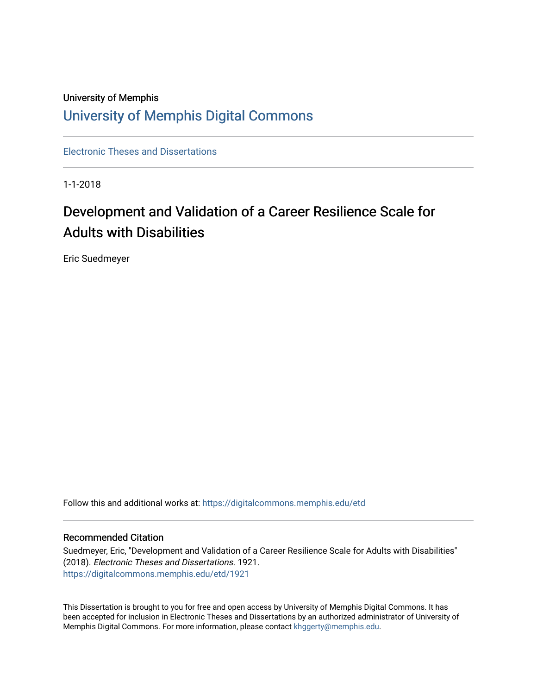# University of Memphis [University of Memphis Digital Commons](https://digitalcommons.memphis.edu/)

[Electronic Theses and Dissertations](https://digitalcommons.memphis.edu/etd)

1-1-2018

# Development and Validation of a Career Resilience Scale for Adults with Disabilities

Eric Suedmeyer

Follow this and additional works at: [https://digitalcommons.memphis.edu/etd](https://digitalcommons.memphis.edu/etd?utm_source=digitalcommons.memphis.edu%2Fetd%2F1921&utm_medium=PDF&utm_campaign=PDFCoverPages) 

#### Recommended Citation

Suedmeyer, Eric, "Development and Validation of a Career Resilience Scale for Adults with Disabilities" (2018). Electronic Theses and Dissertations. 1921. [https://digitalcommons.memphis.edu/etd/1921](https://digitalcommons.memphis.edu/etd/1921?utm_source=digitalcommons.memphis.edu%2Fetd%2F1921&utm_medium=PDF&utm_campaign=PDFCoverPages) 

This Dissertation is brought to you for free and open access by University of Memphis Digital Commons. It has been accepted for inclusion in Electronic Theses and Dissertations by an authorized administrator of University of Memphis Digital Commons. For more information, please contact [khggerty@memphis.edu.](mailto:khggerty@memphis.edu)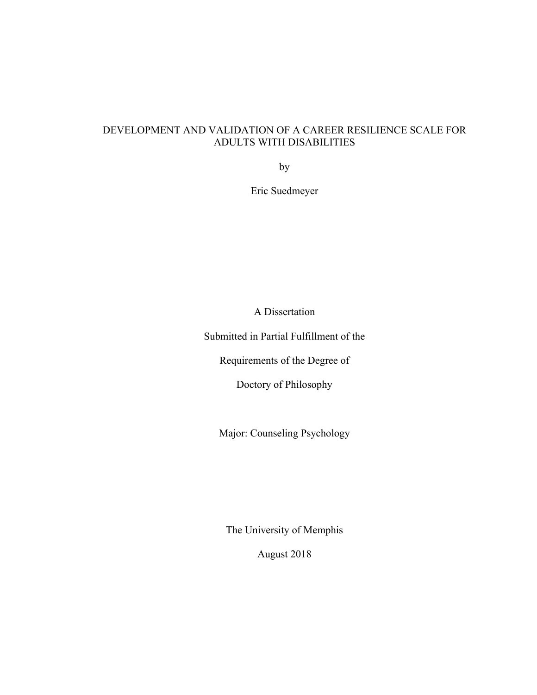# DEVELOPMENT AND VALIDATION OF A CAREER RESILIENCE SCALE FOR ADULTS WITH DISABILITIES

by

Eric Suedmeyer

A Dissertation

Submitted in Partial Fulfillment of the

Requirements of the Degree of

Doctory of Philosophy

Major: Counseling Psychology

The University of Memphis

August 2018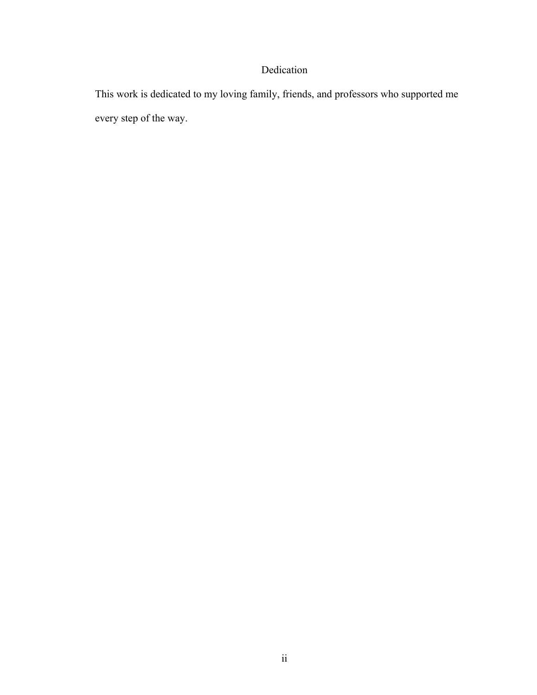# Dedication

This work is dedicated to my loving family, friends, and professors who supported me every step of the way.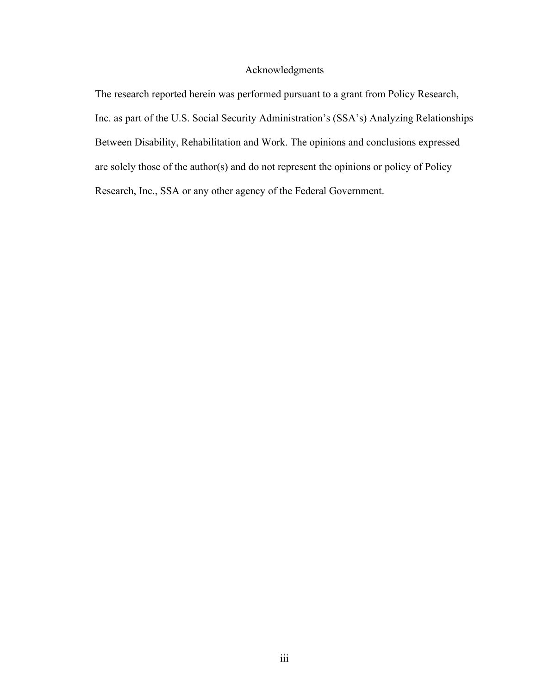### Acknowledgments

The research reported herein was performed pursuant to a grant from Policy Research, Inc. as part of the U.S. Social Security Administration's (SSA's) Analyzing Relationships Between Disability, Rehabilitation and Work. The opinions and conclusions expressed are solely those of the author(s) and do not represent the opinions or policy of Policy Research, Inc., SSA or any other agency of the Federal Government.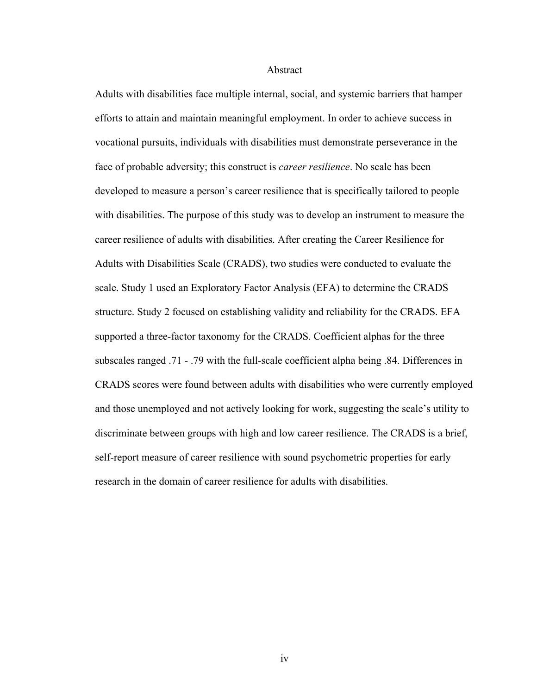#### Abstract

Adults with disabilities face multiple internal, social, and systemic barriers that hamper efforts to attain and maintain meaningful employment. In order to achieve success in vocational pursuits, individuals with disabilities must demonstrate perseverance in the face of probable adversity; this construct is *career resilience*. No scale has been developed to measure a person's career resilience that is specifically tailored to people with disabilities. The purpose of this study was to develop an instrument to measure the career resilience of adults with disabilities. After creating the Career Resilience for Adults with Disabilities Scale (CRADS), two studies were conducted to evaluate the scale. Study 1 used an Exploratory Factor Analysis (EFA) to determine the CRADS structure. Study 2 focused on establishing validity and reliability for the CRADS. EFA supported a three-factor taxonomy for the CRADS. Coefficient alphas for the three subscales ranged .71 - .79 with the full-scale coefficient alpha being .84. Differences in CRADS scores were found between adults with disabilities who were currently employed and those unemployed and not actively looking for work, suggesting the scale's utility to discriminate between groups with high and low career resilience. The CRADS is a brief, self-report measure of career resilience with sound psychometric properties for early research in the domain of career resilience for adults with disabilities.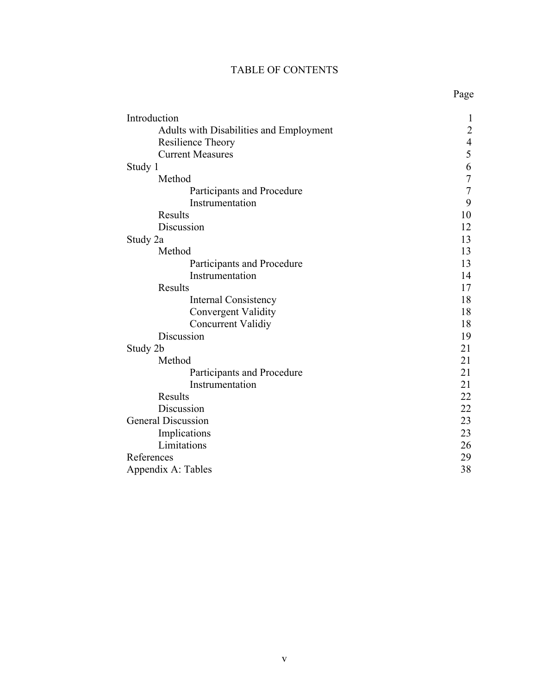# TABLE OF CONTENTS

| Introduction                            | $\mathbf{1}$   |
|-----------------------------------------|----------------|
| Adults with Disabilities and Employment | $\overline{c}$ |
| Resilience Theory                       |                |
| <b>Current Measures</b>                 | $\frac{4}{5}$  |
| Study 1                                 | 6              |
| Method                                  | $\overline{7}$ |
| Participants and Procedure              | $\overline{7}$ |
| Instrumentation                         | 9              |
| Results                                 | 10             |
| Discussion                              | 12             |
| Study 2a                                | 13             |
| Method                                  | 13             |
| Participants and Procedure              | 13             |
| Instrumentation                         | 14             |
| Results                                 | 17             |
| <b>Internal Consistency</b>             | 18             |
| <b>Convergent Validity</b>              | 18             |
| Concurrent Validiy                      | 18             |
| Discussion                              | 19             |
| Study 2b                                | 21             |
| Method                                  | 21             |
| Participants and Procedure              | 21             |
| Instrumentation                         | 21             |
| Results                                 | 22             |
| Discussion                              | 22             |
| <b>General Discussion</b>               | 23             |
| Implications                            | 23             |
| Limitations                             | 26             |
| References                              | 29             |
| Appendix A: Tables                      | 38             |

Page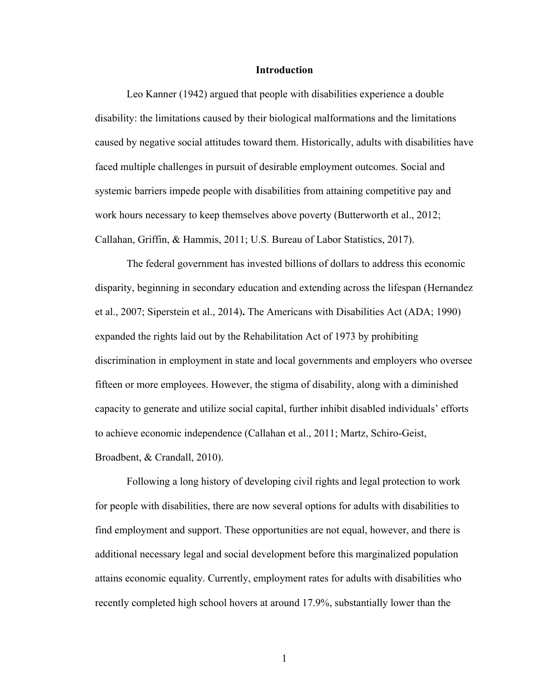#### **Introduction**

Leo Kanner (1942) argued that people with disabilities experience a double disability: the limitations caused by their biological malformations and the limitations caused by negative social attitudes toward them. Historically, adults with disabilities have faced multiple challenges in pursuit of desirable employment outcomes. Social and systemic barriers impede people with disabilities from attaining competitive pay and work hours necessary to keep themselves above poverty (Butterworth et al., 2012; Callahan, Griffin, & Hammis, 2011; U.S. Bureau of Labor Statistics, 2017).

The federal government has invested billions of dollars to address this economic disparity, beginning in secondary education and extending across the lifespan (Hernandez et al., 2007; Siperstein et al., 2014)**.** The Americans with Disabilities Act (ADA; 1990) expanded the rights laid out by the Rehabilitation Act of 1973 by prohibiting discrimination in employment in state and local governments and employers who oversee fifteen or more employees. However, the stigma of disability, along with a diminished capacity to generate and utilize social capital, further inhibit disabled individuals' efforts to achieve economic independence (Callahan et al., 2011; Martz, Schiro-Geist, Broadbent, & Crandall, 2010).

Following a long history of developing civil rights and legal protection to work for people with disabilities, there are now several options for adults with disabilities to find employment and support. These opportunities are not equal, however, and there is additional necessary legal and social development before this marginalized population attains economic equality. Currently, employment rates for adults with disabilities who recently completed high school hovers at around 17.9%, substantially lower than the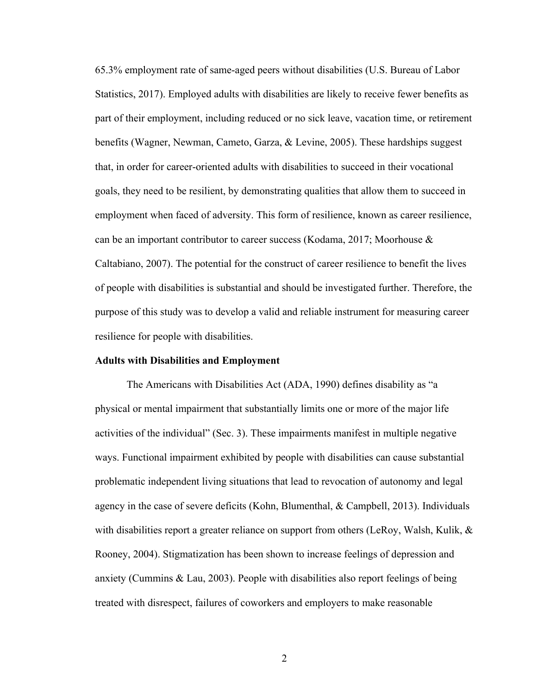65.3% employment rate of same-aged peers without disabilities (U.S. Bureau of Labor Statistics, 2017). Employed adults with disabilities are likely to receive fewer benefits as part of their employment, including reduced or no sick leave, vacation time, or retirement benefits (Wagner, Newman, Cameto, Garza, & Levine, 2005). These hardships suggest that, in order for career-oriented adults with disabilities to succeed in their vocational goals, they need to be resilient, by demonstrating qualities that allow them to succeed in employment when faced of adversity. This form of resilience, known as career resilience, can be an important contributor to career success (Kodama, 2017; Moorhouse & Caltabiano, 2007). The potential for the construct of career resilience to benefit the lives of people with disabilities is substantial and should be investigated further. Therefore, the purpose of this study was to develop a valid and reliable instrument for measuring career resilience for people with disabilities.

#### **Adults with Disabilities and Employment**

The Americans with Disabilities Act (ADA, 1990) defines disability as "a physical or mental impairment that substantially limits one or more of the major life activities of the individual" (Sec. 3). These impairments manifest in multiple negative ways. Functional impairment exhibited by people with disabilities can cause substantial problematic independent living situations that lead to revocation of autonomy and legal agency in the case of severe deficits (Kohn, Blumenthal, & Campbell, 2013). Individuals with disabilities report a greater reliance on support from others (LeRoy, Walsh, Kulik,  $\&$ Rooney, 2004). Stigmatization has been shown to increase feelings of depression and anxiety (Cummins & Lau, 2003). People with disabilities also report feelings of being treated with disrespect, failures of coworkers and employers to make reasonable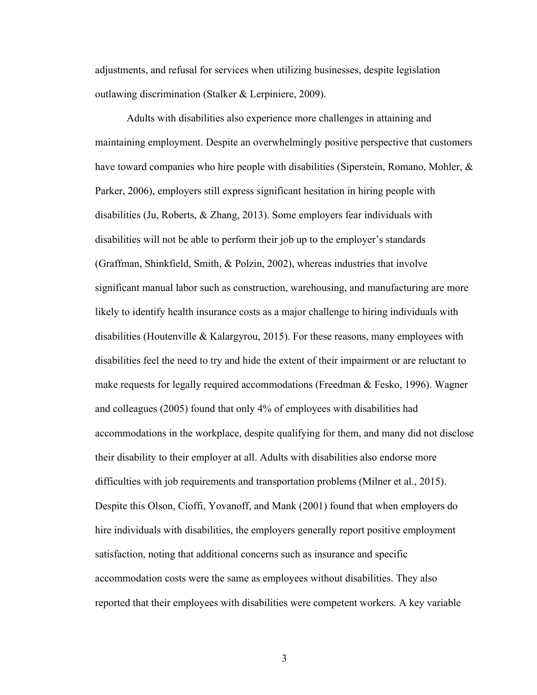adjustments, and refusal for services when utilizing businesses, despite legislation outlawing discrimination (Stalker & Lerpiniere, 2009).

Adults with disabilities also experience more challenges in attaining and maintaining employment. Despite an overwhelmingly positive perspective that customers have toward companies who hire people with disabilities (Siperstein, Romano, Mohler, & Parker, 2006), employers still express significant hesitation in hiring people with disabilities (Ju, Roberts, & Zhang, 2013). Some employers fear individuals with disabilities will not be able to perform their job up to the employer's standards (Graffman, Shinkfield, Smith, & Polzin, 2002), whereas industries that involve significant manual labor such as construction, warehousing, and manufacturing are more likely to identify health insurance costs as a major challenge to hiring individuals with disabilities (Houtenville & Kalargyrou, 2015). For these reasons, many employees with disabilities feel the need to try and hide the extent of their impairment or are reluctant to make requests for legally required accommodations (Freedman  $\&$  Fesko, 1996). Wagner and colleagues (2005) found that only 4% of employees with disabilities had accommodations in the workplace, despite qualifying for them, and many did not disclose their disability to their employer at all. Adults with disabilities also endorse more difficulties with job requirements and transportation problems (Milner et al., 2015). Despite this Olson, Cioffi, Yovanoff, and Mank (2001) found that when employers do hire individuals with disabilities, the employers generally report positive employment satisfaction, noting that additional concerns such as insurance and specific accommodation costs were the same as employees without disabilities. They also reported that their employees with disabilities were competent workers. A key variable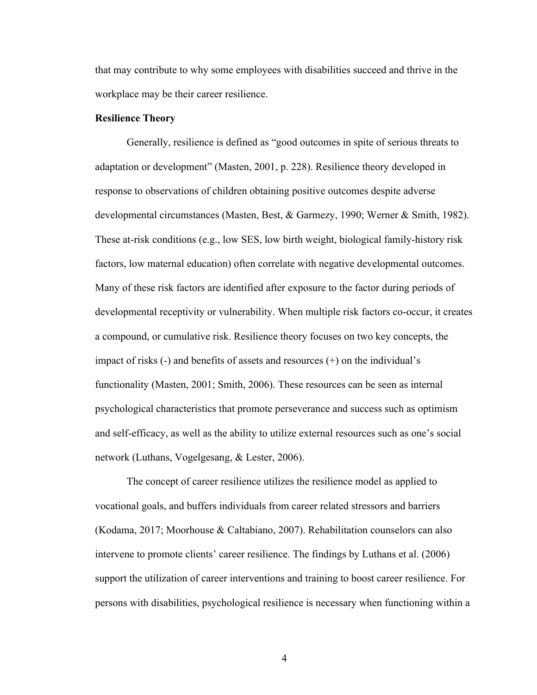that may contribute to why some employees with disabilities succeed and thrive in the workplace may be their career resilience.

#### **Resilience Theory**

Generally, resilience is defined as "good outcomes in spite of serious threats to adaptation or development" (Masten, 2001, p. 228). Resilience theory developed in response to observations of children obtaining positive outcomes despite adverse developmental circumstances (Masten, Best, & Garmezy, 1990; Werner & Smith, 1982). These at-risk conditions (e.g., low SES, low birth weight, biological family-history risk factors, low maternal education) often correlate with negative developmental outcomes. Many of these risk factors are identified after exposure to the factor during periods of developmental receptivity or vulnerability. When multiple risk factors co-occur, it creates a compound, or cumulative risk. Resilience theory focuses on two key concepts, the impact of risks (-) and benefits of assets and resources (+) on the individual's functionality (Masten, 2001; Smith, 2006). These resources can be seen as internal psychological characteristics that promote perseverance and success such as optimism and self-efficacy, as well as the ability to utilize external resources such as one's social network (Luthans, Vogelgesang, & Lester, 2006).

The concept of career resilience utilizes the resilience model as applied to vocational goals, and buffers individuals from career related stressors and barriers (Kodama, 2017; Moorhouse & Caltabiano, 2007). Rehabilitation counselors can also intervene to promote clients' career resilience. The findings by Luthans et al. (2006) support the utilization of career interventions and training to boost career resilience. For persons with disabilities, psychological resilience is necessary when functioning within a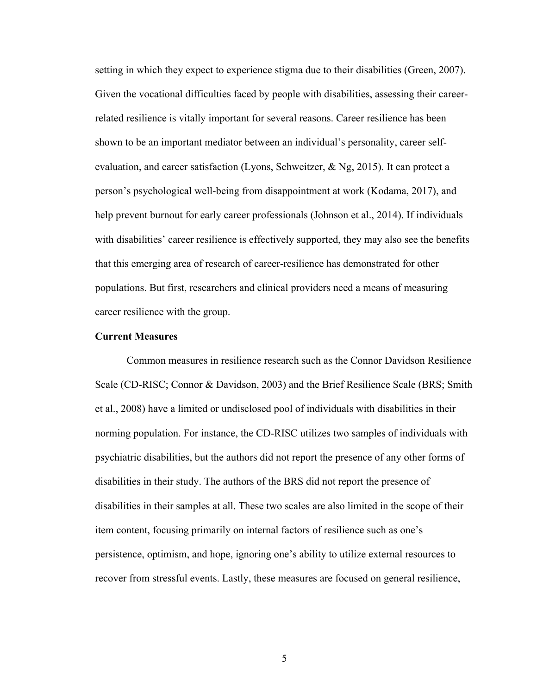setting in which they expect to experience stigma due to their disabilities (Green, 2007). Given the vocational difficulties faced by people with disabilities, assessing their careerrelated resilience is vitally important for several reasons. Career resilience has been shown to be an important mediator between an individual's personality, career selfevaluation, and career satisfaction (Lyons, Schweitzer, & Ng, 2015). It can protect a person's psychological well-being from disappointment at work (Kodama, 2017), and help prevent burnout for early career professionals (Johnson et al., 2014). If individuals with disabilities' career resilience is effectively supported, they may also see the benefits that this emerging area of research of career-resilience has demonstrated for other populations. But first, researchers and clinical providers need a means of measuring career resilience with the group.

#### **Current Measures**

Common measures in resilience research such as the Connor Davidson Resilience Scale (CD-RISC; Connor & Davidson, 2003) and the Brief Resilience Scale (BRS; Smith et al., 2008) have a limited or undisclosed pool of individuals with disabilities in their norming population. For instance, the CD-RISC utilizes two samples of individuals with psychiatric disabilities, but the authors did not report the presence of any other forms of disabilities in their study. The authors of the BRS did not report the presence of disabilities in their samples at all. These two scales are also limited in the scope of their item content, focusing primarily on internal factors of resilience such as one's persistence, optimism, and hope, ignoring one's ability to utilize external resources to recover from stressful events. Lastly, these measures are focused on general resilience,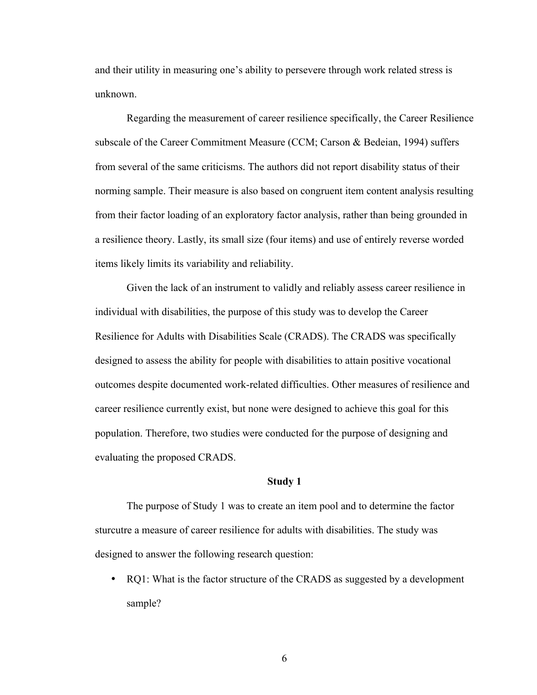and their utility in measuring one's ability to persevere through work related stress is unknown.

Regarding the measurement of career resilience specifically, the Career Resilience subscale of the Career Commitment Measure (CCM; Carson & Bedeian, 1994) suffers from several of the same criticisms. The authors did not report disability status of their norming sample. Their measure is also based on congruent item content analysis resulting from their factor loading of an exploratory factor analysis, rather than being grounded in a resilience theory. Lastly, its small size (four items) and use of entirely reverse worded items likely limits its variability and reliability.

Given the lack of an instrument to validly and reliably assess career resilience in individual with disabilities, the purpose of this study was to develop the Career Resilience for Adults with Disabilities Scale (CRADS). The CRADS was specifically designed to assess the ability for people with disabilities to attain positive vocational outcomes despite documented work-related difficulties. Other measures of resilience and career resilience currently exist, but none were designed to achieve this goal for this population. Therefore, two studies were conducted for the purpose of designing and evaluating the proposed CRADS.

#### **Study 1**

The purpose of Study 1 was to create an item pool and to determine the factor sturcutre a measure of career resilience for adults with disabilities. The study was designed to answer the following research question:

• RQ1: What is the factor structure of the CRADS as suggested by a development sample?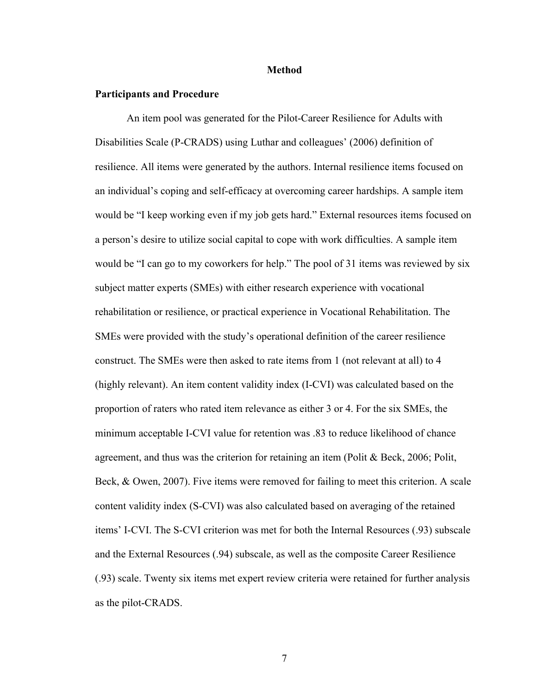#### **Method**

#### **Participants and Procedure**

An item pool was generated for the Pilot-Career Resilience for Adults with Disabilities Scale (P-CRADS) using Luthar and colleagues' (2006) definition of resilience. All items were generated by the authors. Internal resilience items focused on an individual's coping and self-efficacy at overcoming career hardships. A sample item would be "I keep working even if my job gets hard." External resources items focused on a person's desire to utilize social capital to cope with work difficulties. A sample item would be "I can go to my coworkers for help." The pool of 31 items was reviewed by six subject matter experts (SMEs) with either research experience with vocational rehabilitation or resilience, or practical experience in Vocational Rehabilitation. The SMEs were provided with the study's operational definition of the career resilience construct. The SMEs were then asked to rate items from 1 (not relevant at all) to 4 (highly relevant). An item content validity index (I-CVI) was calculated based on the proportion of raters who rated item relevance as either 3 or 4. For the six SMEs, the minimum acceptable I-CVI value for retention was .83 to reduce likelihood of chance agreement, and thus was the criterion for retaining an item (Polit & Beck, 2006; Polit, Beck, & Owen, 2007). Five items were removed for failing to meet this criterion. A scale content validity index (S-CVI) was also calculated based on averaging of the retained items' I-CVI. The S-CVI criterion was met for both the Internal Resources (.93) subscale and the External Resources (.94) subscale, as well as the composite Career Resilience (.93) scale. Twenty six items met expert review criteria were retained for further analysis as the pilot-CRADS.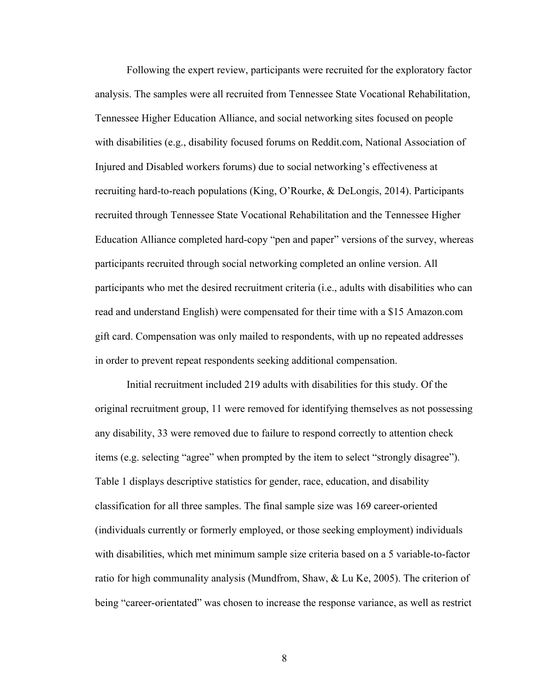Following the expert review, participants were recruited for the exploratory factor analysis. The samples were all recruited from Tennessee State Vocational Rehabilitation, Tennessee Higher Education Alliance, and social networking sites focused on people with disabilities (e.g., disability focused forums on Reddit.com, National Association of Injured and Disabled workers forums) due to social networking's effectiveness at recruiting hard-to-reach populations (King, O'Rourke, & DeLongis, 2014). Participants recruited through Tennessee State Vocational Rehabilitation and the Tennessee Higher Education Alliance completed hard-copy "pen and paper" versions of the survey, whereas participants recruited through social networking completed an online version. All participants who met the desired recruitment criteria (i.e., adults with disabilities who can read and understand English) were compensated for their time with a \$15 Amazon.com gift card. Compensation was only mailed to respondents, with up no repeated addresses in order to prevent repeat respondents seeking additional compensation.

Initial recruitment included 219 adults with disabilities for this study. Of the original recruitment group, 11 were removed for identifying themselves as not possessing any disability, 33 were removed due to failure to respond correctly to attention check items (e.g. selecting "agree" when prompted by the item to select "strongly disagree"). Table 1 displays descriptive statistics for gender, race, education, and disability classification for all three samples. The final sample size was 169 career-oriented (individuals currently or formerly employed, or those seeking employment) individuals with disabilities, which met minimum sample size criteria based on a 5 variable-to-factor ratio for high communality analysis (Mundfrom, Shaw, & Lu Ke, 2005). The criterion of being "career-orientated" was chosen to increase the response variance, as well as restrict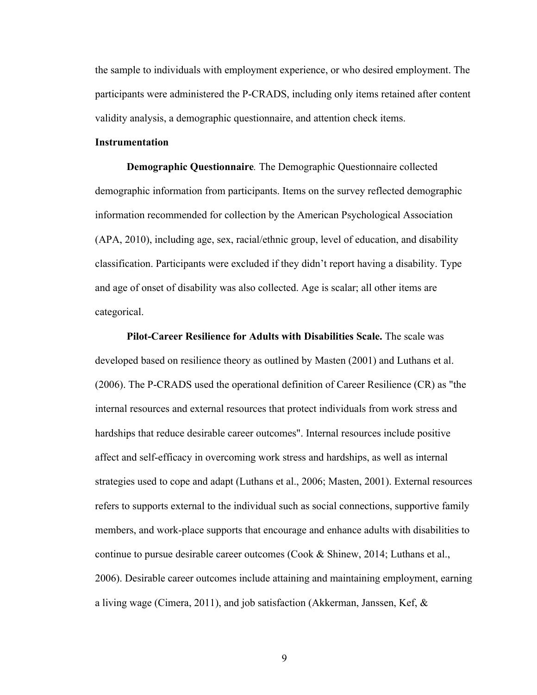the sample to individuals with employment experience, or who desired employment. The participants were administered the P-CRADS, including only items retained after content validity analysis, a demographic questionnaire, and attention check items.

#### **Instrumentation**

**Demographic Questionnaire***.* The Demographic Questionnaire collected demographic information from participants. Items on the survey reflected demographic information recommended for collection by the American Psychological Association (APA, 2010), including age, sex, racial/ethnic group, level of education, and disability classification. Participants were excluded if they didn't report having a disability. Type and age of onset of disability was also collected. Age is scalar; all other items are categorical.

**Pilot-Career Resilience for Adults with Disabilities Scale.** The scale was developed based on resilience theory as outlined by Masten (2001) and Luthans et al. (2006). The P-CRADS used the operational definition of Career Resilience (CR) as "the internal resources and external resources that protect individuals from work stress and hardships that reduce desirable career outcomes". Internal resources include positive affect and self-efficacy in overcoming work stress and hardships, as well as internal strategies used to cope and adapt (Luthans et al., 2006; Masten, 2001). External resources refers to supports external to the individual such as social connections, supportive family members, and work-place supports that encourage and enhance adults with disabilities to continue to pursue desirable career outcomes (Cook & Shinew, 2014; Luthans et al., 2006). Desirable career outcomes include attaining and maintaining employment, earning a living wage (Cimera, 2011), and job satisfaction (Akkerman, Janssen, Kef, &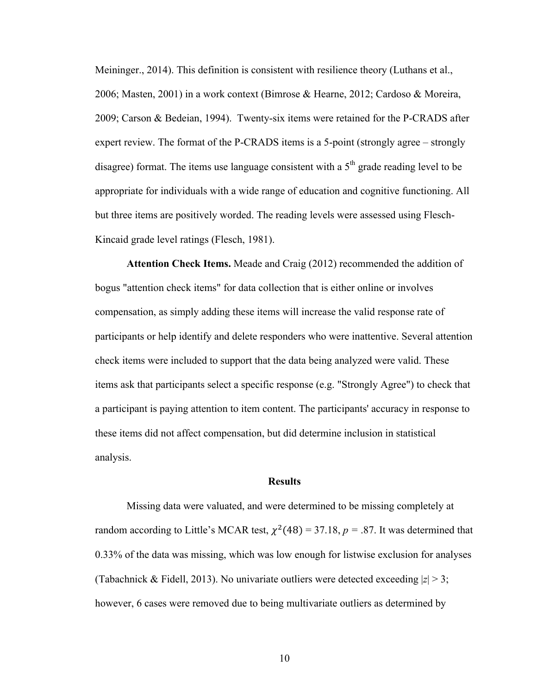Meininger., 2014). This definition is consistent with resilience theory (Luthans et al., 2006; Masten, 2001) in a work context (Bimrose & Hearne, 2012; Cardoso & Moreira, 2009; Carson & Bedeian, 1994). Twenty-six items were retained for the P-CRADS after expert review. The format of the P-CRADS items is a 5-point (strongly agree – strongly disagree) format. The items use language consistent with a  $5<sup>th</sup>$  grade reading level to be appropriate for individuals with a wide range of education and cognitive functioning. All but three items are positively worded. The reading levels were assessed using Flesch-Kincaid grade level ratings (Flesch, 1981).

**Attention Check Items.** Meade and Craig (2012) recommended the addition of bogus "attention check items" for data collection that is either online or involves compensation, as simply adding these items will increase the valid response rate of participants or help identify and delete responders who were inattentive. Several attention check items were included to support that the data being analyzed were valid. These items ask that participants select a specific response (e.g. "Strongly Agree") to check that a participant is paying attention to item content. The participants' accuracy in response to these items did not affect compensation, but did determine inclusion in statistical analysis.

#### **Results**

Missing data were valuated, and were determined to be missing completely at random according to Little's MCAR test,  $\chi^2(48) = 37.18$ ,  $p = .87$ . It was determined that 0.33% of the data was missing, which was low enough for listwise exclusion for analyses (Tabachnick & Fidell, 2013). No univariate outliers were detected exceeding  $|z| > 3$ ; however, 6 cases were removed due to being multivariate outliers as determined by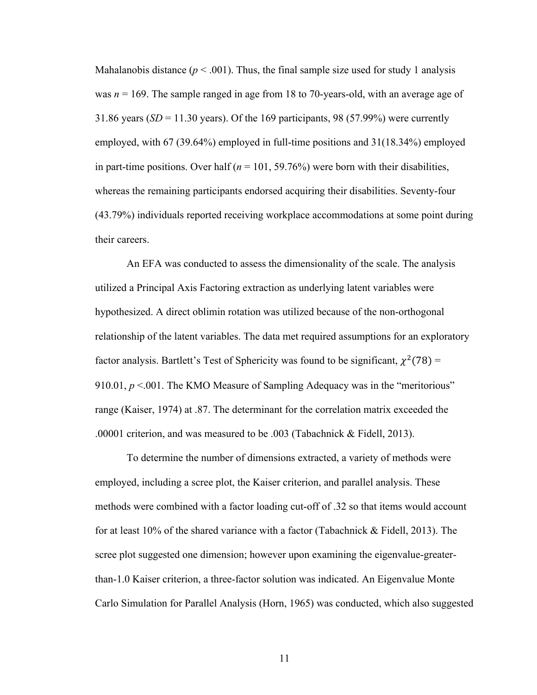Mahalanobis distance  $(p < .001)$ . Thus, the final sample size used for study 1 analysis was *n* = 169. The sample ranged in age from 18 to 70-years-old, with an average age of 31.86 years  $(SD = 11.30$  years). Of the 169 participants, 98 (57.99%) were currently employed, with 67 (39.64%) employed in full-time positions and 31(18.34%) employed in part-time positions. Over half  $(n = 101, 59.76%)$  were born with their disabilities, whereas the remaining participants endorsed acquiring their disabilities. Seventy-four (43.79%) individuals reported receiving workplace accommodations at some point during their careers.

An EFA was conducted to assess the dimensionality of the scale. The analysis utilized a Principal Axis Factoring extraction as underlying latent variables were hypothesized. A direct oblimin rotation was utilized because of the non-orthogonal relationship of the latent variables. The data met required assumptions for an exploratory factor analysis. Bartlett's Test of Sphericity was found to be significant,  $\chi^2(78)$  = 910.01,  $p < 0.01$ . The KMO Measure of Sampling Adequacy was in the "meritorious" range (Kaiser, 1974) at .87. The determinant for the correlation matrix exceeded the .00001 criterion, and was measured to be .003 (Tabachnick & Fidell, 2013).

To determine the number of dimensions extracted, a variety of methods were employed, including a scree plot, the Kaiser criterion, and parallel analysis. These methods were combined with a factor loading cut-off of .32 so that items would account for at least 10% of the shared variance with a factor (Tabachnick & Fidell, 2013). The scree plot suggested one dimension; however upon examining the eigenvalue-greaterthan-1.0 Kaiser criterion, a three-factor solution was indicated. An Eigenvalue Monte Carlo Simulation for Parallel Analysis (Horn, 1965) was conducted, which also suggested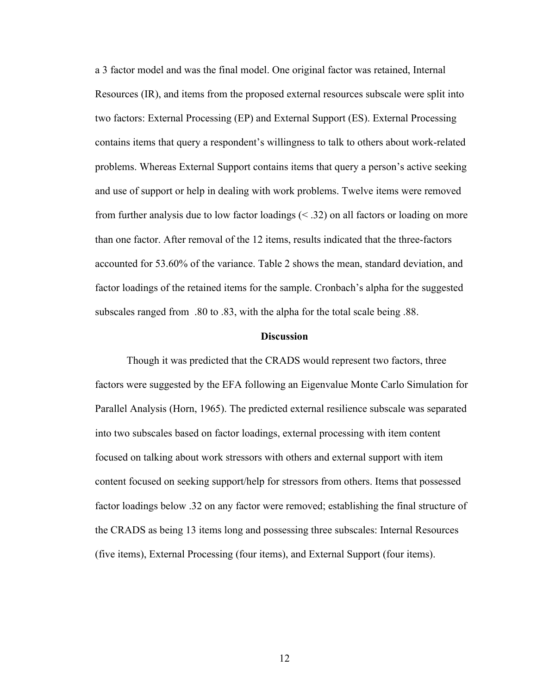a 3 factor model and was the final model. One original factor was retained, Internal Resources (IR), and items from the proposed external resources subscale were split into two factors: External Processing (EP) and External Support (ES). External Processing contains items that query a respondent's willingness to talk to others about work-related problems. Whereas External Support contains items that query a person's active seeking and use of support or help in dealing with work problems. Twelve items were removed from further analysis due to low factor loadings (< .32) on all factors or loading on more than one factor. After removal of the 12 items, results indicated that the three-factors accounted for 53.60% of the variance. Table 2 shows the mean, standard deviation, and factor loadings of the retained items for the sample. Cronbach's alpha for the suggested subscales ranged from .80 to .83, with the alpha for the total scale being .88.

#### **Discussion**

Though it was predicted that the CRADS would represent two factors, three factors were suggested by the EFA following an Eigenvalue Monte Carlo Simulation for Parallel Analysis (Horn, 1965). The predicted external resilience subscale was separated into two subscales based on factor loadings, external processing with item content focused on talking about work stressors with others and external support with item content focused on seeking support/help for stressors from others. Items that possessed factor loadings below .32 on any factor were removed; establishing the final structure of the CRADS as being 13 items long and possessing three subscales: Internal Resources (five items), External Processing (four items), and External Support (four items).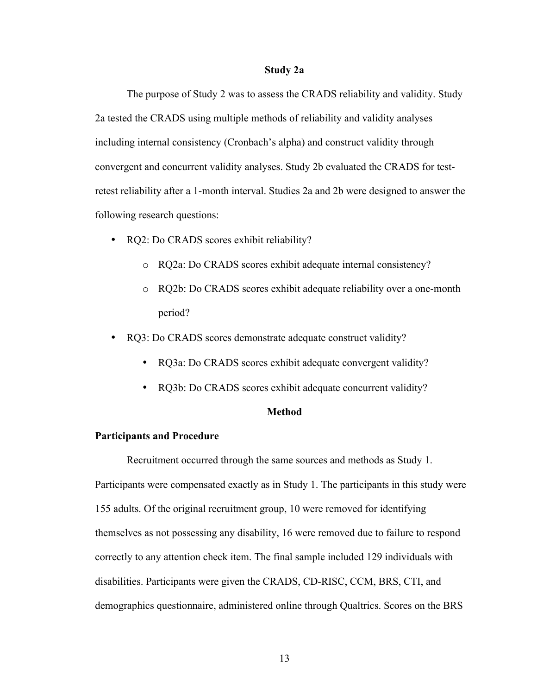#### **Study 2a**

The purpose of Study 2 was to assess the CRADS reliability and validity. Study 2a tested the CRADS using multiple methods of reliability and validity analyses including internal consistency (Cronbach's alpha) and construct validity through convergent and concurrent validity analyses. Study 2b evaluated the CRADS for testretest reliability after a 1-month interval. Studies 2a and 2b were designed to answer the following research questions:

- RQ2: Do CRADS scores exhibit reliability?
	- o RQ2a: Do CRADS scores exhibit adequate internal consistency?
	- o RQ2b: Do CRADS scores exhibit adequate reliability over a one-month period?
- RQ3: Do CRADS scores demonstrate adequate construct validity?
	- RQ3a: Do CRADS scores exhibit adequate convergent validity?
	- RQ3b: Do CRADS scores exhibit adequate concurrent validity?

#### **Method**

#### **Participants and Procedure**

Recruitment occurred through the same sources and methods as Study 1. Participants were compensated exactly as in Study 1. The participants in this study were 155 adults. Of the original recruitment group, 10 were removed for identifying themselves as not possessing any disability, 16 were removed due to failure to respond correctly to any attention check item. The final sample included 129 individuals with disabilities. Participants were given the CRADS, CD-RISC, CCM, BRS, CTI, and demographics questionnaire, administered online through Qualtrics. Scores on the BRS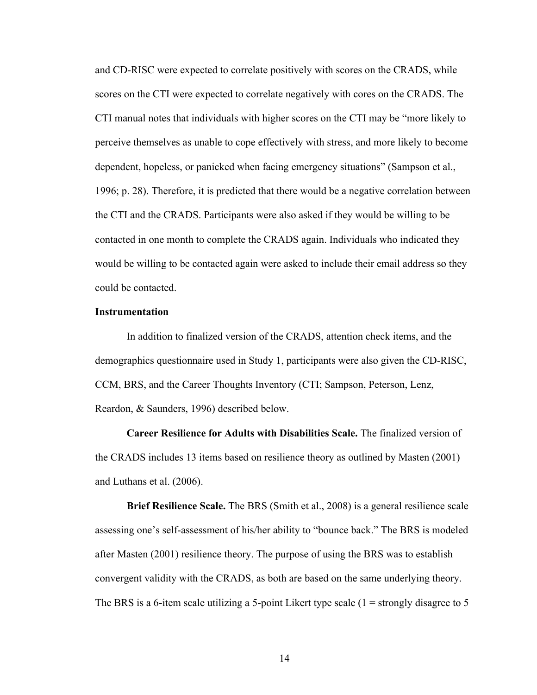and CD-RISC were expected to correlate positively with scores on the CRADS, while scores on the CTI were expected to correlate negatively with cores on the CRADS. The CTI manual notes that individuals with higher scores on the CTI may be "more likely to perceive themselves as unable to cope effectively with stress, and more likely to become dependent, hopeless, or panicked when facing emergency situations" (Sampson et al., 1996; p. 28). Therefore, it is predicted that there would be a negative correlation between the CTI and the CRADS. Participants were also asked if they would be willing to be contacted in one month to complete the CRADS again. Individuals who indicated they would be willing to be contacted again were asked to include their email address so they could be contacted.

#### **Instrumentation**

In addition to finalized version of the CRADS, attention check items, and the demographics questionnaire used in Study 1, participants were also given the CD-RISC, CCM, BRS, and the Career Thoughts Inventory (CTI; Sampson, Peterson, Lenz, Reardon, & Saunders, 1996) described below.

**Career Resilience for Adults with Disabilities Scale.** The finalized version of the CRADS includes 13 items based on resilience theory as outlined by Masten (2001) and Luthans et al. (2006).

**Brief Resilience Scale.** The BRS (Smith et al., 2008) is a general resilience scale assessing one's self-assessment of his/her ability to "bounce back." The BRS is modeled after Masten (2001) resilience theory. The purpose of using the BRS was to establish convergent validity with the CRADS, as both are based on the same underlying theory. The BRS is a 6-item scale utilizing a 5-point Likert type scale  $(1 =$  strongly disagree to 5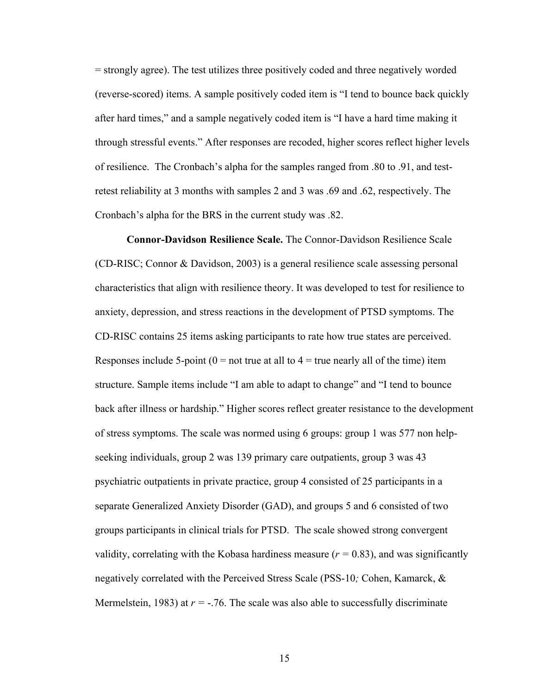= strongly agree). The test utilizes three positively coded and three negatively worded (reverse-scored) items. A sample positively coded item is "I tend to bounce back quickly after hard times," and a sample negatively coded item is "I have a hard time making it through stressful events." After responses are recoded, higher scores reflect higher levels of resilience. The Cronbach's alpha for the samples ranged from .80 to .91, and testretest reliability at 3 months with samples 2 and 3 was .69 and .62, respectively. The Cronbach's alpha for the BRS in the current study was .82.

**Connor-Davidson Resilience Scale.** The Connor-Davidson Resilience Scale (CD-RISC; Connor & Davidson, 2003) is a general resilience scale assessing personal characteristics that align with resilience theory. It was developed to test for resilience to anxiety, depression, and stress reactions in the development of PTSD symptoms. The CD-RISC contains 25 items asking participants to rate how true states are perceived. Responses include 5-point ( $0 =$  not true at all to  $4 =$  true nearly all of the time) item structure. Sample items include "I am able to adapt to change" and "I tend to bounce back after illness or hardship." Higher scores reflect greater resistance to the development of stress symptoms. The scale was normed using 6 groups: group 1 was 577 non helpseeking individuals, group 2 was 139 primary care outpatients, group 3 was 43 psychiatric outpatients in private practice, group 4 consisted of 25 participants in a separate Generalized Anxiety Disorder (GAD), and groups 5 and 6 consisted of two groups participants in clinical trials for PTSD. The scale showed strong convergent validity, correlating with the Kobasa hardiness measure  $(r = 0.83)$ , and was significantly negatively correlated with the Perceived Stress Scale (PSS-10*;* Cohen, Kamarck, & Mermelstein, 1983) at  $r = -0.76$ . The scale was also able to successfully discriminate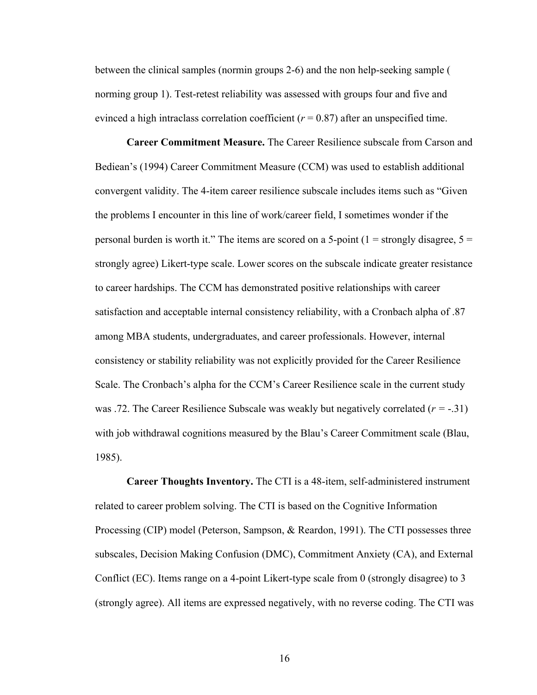between the clinical samples (normin groups 2-6) and the non help-seeking sample ( norming group 1). Test-retest reliability was assessed with groups four and five and evinced a high intraclass correlation coefficient  $(r = 0.87)$  after an unspecified time.

**Career Commitment Measure.** The Career Resilience subscale from Carson and Bediean's (1994) Career Commitment Measure (CCM) was used to establish additional convergent validity. The 4-item career resilience subscale includes items such as "Given the problems I encounter in this line of work/career field, I sometimes wonder if the personal burden is worth it." The items are scored on a 5-point (1 = strongly disagree,  $5 =$ strongly agree) Likert-type scale. Lower scores on the subscale indicate greater resistance to career hardships. The CCM has demonstrated positive relationships with career satisfaction and acceptable internal consistency reliability, with a Cronbach alpha of .87 among MBA students, undergraduates, and career professionals. However, internal consistency or stability reliability was not explicitly provided for the Career Resilience Scale. The Cronbach's alpha for the CCM's Career Resilience scale in the current study was .72. The Career Resilience Subscale was weakly but negatively correlated (*r =* -.31) with job withdrawal cognitions measured by the Blau's Career Commitment scale (Blau, 1985).

**Career Thoughts Inventory.** The CTI is a 48-item, self-administered instrument related to career problem solving. The CTI is based on the Cognitive Information Processing (CIP) model (Peterson, Sampson, & Reardon, 1991). The CTI possesses three subscales, Decision Making Confusion (DMC), Commitment Anxiety (CA), and External Conflict (EC). Items range on a 4-point Likert-type scale from 0 (strongly disagree) to 3 (strongly agree). All items are expressed negatively, with no reverse coding. The CTI was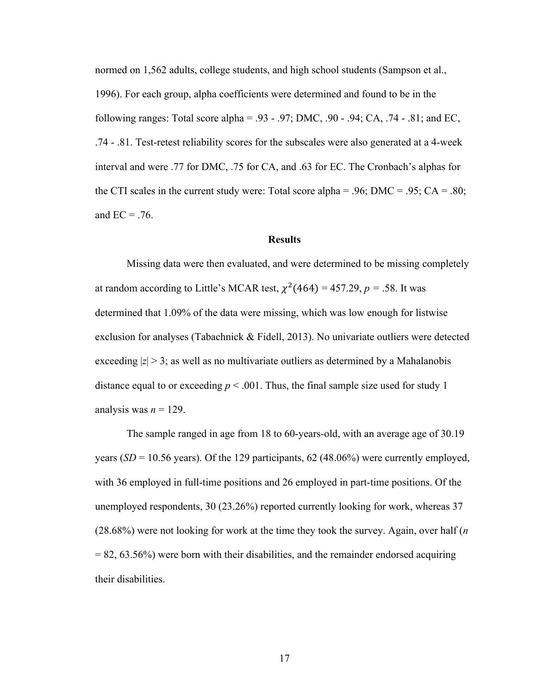normed on 1,562 adults, college students, and high school students (Sampson et al., 1996). For each group, alpha coefficients were determined and found to be in the following ranges: Total score alpha = .93 - .97; DMC, .90 - .94; CA, .74 - .81; and EC, .74 - .81. Test-retest reliability scores for the subscales were also generated at a 4-week interval and were .77 for DMC, .75 for CA, and .63 for EC. The Cronbach's alphas for the CTI scales in the current study were: Total score alpha = .96;  $DMC = .95$ ;  $CA = .80$ ; and  $EC = .76$ .

#### **Results**

Missing data were then evaluated, and were determined to be missing completely at random according to Little's MCAR test,  $\chi^2$ (464) = 457.29, *p* = .58. It was determined that 1.09% of the data were missing, which was low enough for listwise exclusion for analyses (Tabachnick & Fidell, 2013). No univariate outliers were detected exceeding  $|z| > 3$ ; as well as no multivariate outliers as determined by a Mahalanobis distance equal to or exceeding  $p < .001$ . Thus, the final sample size used for study 1 analysis was  $n = 129$ .

The sample ranged in age from 18 to 60-years-old, with an average age of 30.19 years  $(SD = 10.56$  years). Of the 129 participants, 62 (48.06%) were currently employed, with 36 employed in full-time positions and 26 employed in part-time positions. Of the unemployed respondents, 30 (23.26%) reported currently looking for work, whereas 37 (28.68%) were not looking for work at the time they took the survey. Again, over half (*n*  $= 82, 63.56\%$ ) were born with their disabilities, and the remainder endorsed acquiring their disabilities.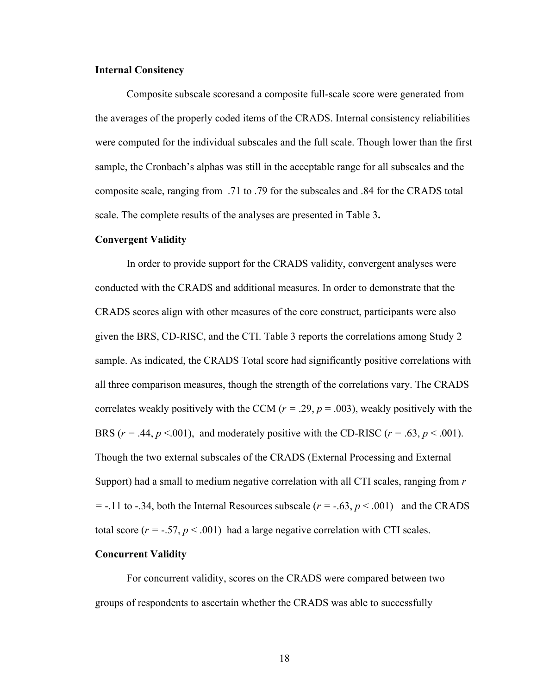#### **Internal Consitency**

Composite subscale scoresand a composite full-scale score were generated from the averages of the properly coded items of the CRADS. Internal consistency reliabilities were computed for the individual subscales and the full scale. Though lower than the first sample, the Cronbach's alphas was still in the acceptable range for all subscales and the composite scale, ranging from .71 to .79 for the subscales and .84 for the CRADS total scale. The complete results of the analyses are presented in Table 3**.**

#### **Convergent Validity**

In order to provide support for the CRADS validity, convergent analyses were conducted with the CRADS and additional measures. In order to demonstrate that the CRADS scores align with other measures of the core construct, participants were also given the BRS, CD-RISC, and the CTI. Table 3 reports the correlations among Study 2 sample. As indicated, the CRADS Total score had significantly positive correlations with all three comparison measures, though the strength of the correlations vary. The CRADS correlates weakly positively with the CCM ( $r = .29$ ,  $p = .003$ ), weakly positively with the BRS ( $r = .44$ ,  $p < .001$ ), and moderately positive with the CD-RISC ( $r = .63$ ,  $p < .001$ ). Though the two external subscales of the CRADS (External Processing and External Support) had a small to medium negative correlation with all CTI scales, ranging from *r =* -.11 to -.34, both the Internal Resources subscale  $(r = -0.63, p \le 0.001)$  and the CRADS total score  $(r = -.57, p < .001)$  had a large negative correlation with CTI scales.

#### **Concurrent Validity**

For concurrent validity, scores on the CRADS were compared between two groups of respondents to ascertain whether the CRADS was able to successfully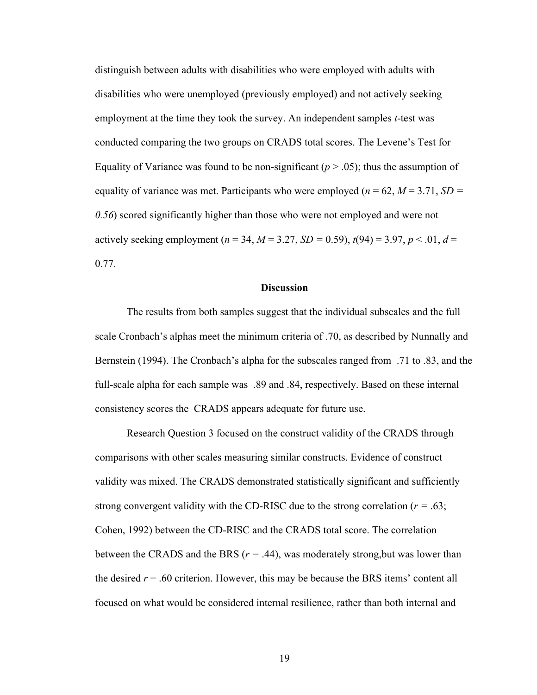distinguish between adults with disabilities who were employed with adults with disabilities who were unemployed (previously employed) and not actively seeking employment at the time they took the survey. An independent samples *t*-test was conducted comparing the two groups on CRADS total scores. The Levene's Test for Equality of Variance was found to be non-significant  $(p > .05)$ ; thus the assumption of equality of variance was met. Participants who were employed ( $n = 62$ ,  $M = 3.71$ ,  $SD =$ *0.56*) scored significantly higher than those who were not employed and were not actively seeking employment ( $n = 34$ ,  $M = 3.27$ ,  $SD = 0.59$ ),  $t(94) = 3.97$ ,  $p < .01$ ,  $d =$ 0.77.

#### **Discussion**

The results from both samples suggest that the individual subscales and the full scale Cronbach's alphas meet the minimum criteria of .70, as described by Nunnally and Bernstein (1994). The Cronbach's alpha for the subscales ranged from .71 to .83, and the full-scale alpha for each sample was .89 and .84, respectively. Based on these internal consistency scores the CRADS appears adequate for future use.

Research Question 3 focused on the construct validity of the CRADS through comparisons with other scales measuring similar constructs. Evidence of construct validity was mixed. The CRADS demonstrated statistically significant and sufficiently strong convergent validity with the CD-RISC due to the strong correlation (*r =* .63; Cohen, 1992) between the CD-RISC and the CRADS total score. The correlation between the CRADS and the BRS (*r =* .44), was moderately strong,but was lower than the desired  $r = .60$  criterion. However, this may be because the BRS items' content all focused on what would be considered internal resilience, rather than both internal and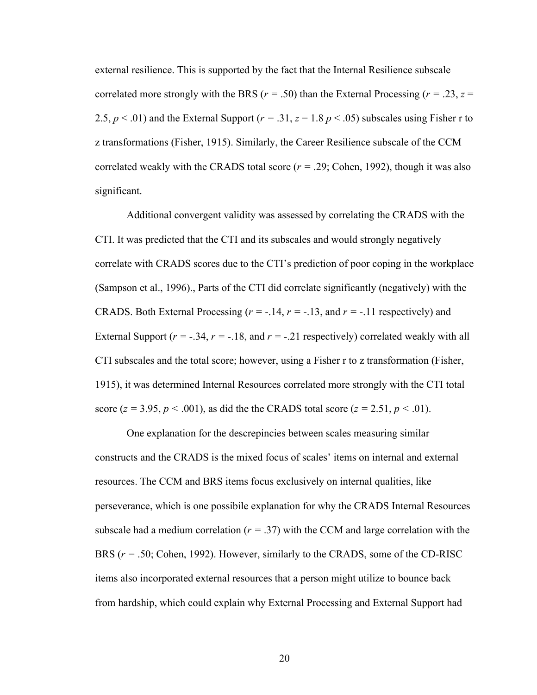external resilience. This is supported by the fact that the Internal Resilience subscale correlated more strongly with the BRS ( $r = .50$ ) than the External Processing ( $r = .23$ ,  $z =$ 2.5,  $p < .01$ ) and the External Support ( $r = .31$ ,  $z = 1.8$   $p < .05$ ) subscales using Fisher r to z transformations (Fisher, 1915). Similarly, the Career Resilience subscale of the CCM correlated weakly with the CRADS total score (*r =* .29; Cohen, 1992), though it was also significant.

Additional convergent validity was assessed by correlating the CRADS with the CTI. It was predicted that the CTI and its subscales and would strongly negatively correlate with CRADS scores due to the CTI's prediction of poor coping in the workplace (Sampson et al., 1996)., Parts of the CTI did correlate significantly (negatively) with the CRADS. Both External Processing (*r = -*.14, *r = -*.13, and *r = -*.11 respectively) and External Support ( $r = -.34$ ,  $r = -.18$ , and  $r = -.21$  respectively) correlated weakly with all CTI subscales and the total score; however, using a Fisher r to z transformation (Fisher, 1915), it was determined Internal Resources correlated more strongly with the CTI total score ( $z = 3.95$ ,  $p < .001$ ), as did the the CRADS total score ( $z = 2.51$ ,  $p < .01$ ).

One explanation for the descrepincies between scales measuring similar constructs and the CRADS is the mixed focus of scales' items on internal and external resources. The CCM and BRS items focus exclusively on internal qualities, like perseverance, which is one possibile explanation for why the CRADS Internal Resources subscale had a medium correlation  $(r = .37)$  with the CCM and large correlation with the BRS (*r =* .50; Cohen, 1992). However, similarly to the CRADS, some of the CD-RISC items also incorporated external resources that a person might utilize to bounce back from hardship, which could explain why External Processing and External Support had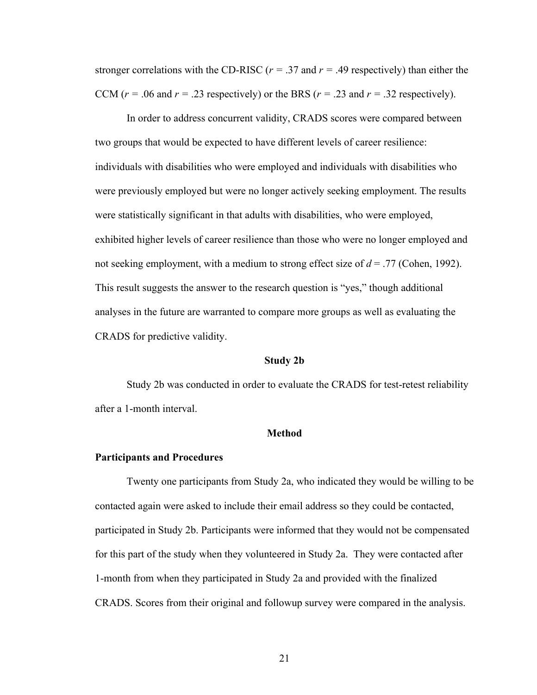stronger correlations with the CD-RISC ( $r = .37$  and  $r = .49$  respectively) than either the CCM ( $r = .06$  and  $r = .23$  respectively) or the BRS ( $r = .23$  and  $r = .32$  respectively).

In order to address concurrent validity, CRADS scores were compared between two groups that would be expected to have different levels of career resilience: individuals with disabilities who were employed and individuals with disabilities who were previously employed but were no longer actively seeking employment. The results were statistically significant in that adults with disabilities, who were employed, exhibited higher levels of career resilience than those who were no longer employed and not seeking employment, with a medium to strong effect size of *d* = .77 (Cohen, 1992). This result suggests the answer to the research question is "yes," though additional analyses in the future are warranted to compare more groups as well as evaluating the CRADS for predictive validity.

#### **Study 2b**

Study 2b was conducted in order to evaluate the CRADS for test-retest reliability after a 1-month interval.

#### **Method**

#### **Participants and Procedures**

Twenty one participants from Study 2a, who indicated they would be willing to be contacted again were asked to include their email address so they could be contacted, participated in Study 2b. Participants were informed that they would not be compensated for this part of the study when they volunteered in Study 2a. They were contacted after 1-month from when they participated in Study 2a and provided with the finalized CRADS. Scores from their original and followup survey were compared in the analysis.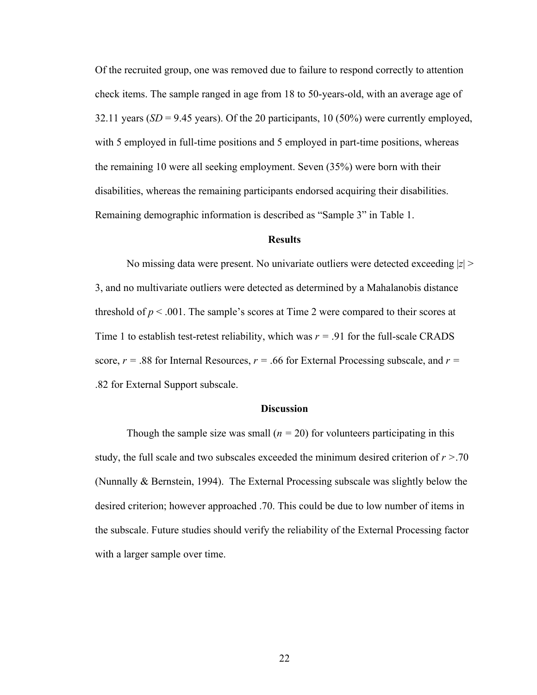Of the recruited group, one was removed due to failure to respond correctly to attention check items. The sample ranged in age from 18 to 50-years-old, with an average age of 32.11 years  $(SD = 9.45$  years). Of the 20 participants, 10 (50%) were currently employed, with 5 employed in full-time positions and 5 employed in part-time positions, whereas the remaining 10 were all seeking employment. Seven (35%) were born with their disabilities, whereas the remaining participants endorsed acquiring their disabilities. Remaining demographic information is described as "Sample 3" in Table 1.

#### **Results**

No missing data were present. No univariate outliers were detected exceeding |*z*| > 3, and no multivariate outliers were detected as determined by a Mahalanobis distance threshold of  $p < .001$ . The sample's scores at Time 2 were compared to their scores at Time 1 to establish test-retest reliability, which was  $r = .91$  for the full-scale CRADS score,  $r = .88$  for Internal Resources,  $r = .66$  for External Processing subscale, and  $r =$ .82 for External Support subscale.

#### **Discussion**

Though the sample size was small  $(n = 20)$  for volunteers participating in this study, the full scale and two subscales exceeded the minimum desired criterion of *r >*.70 (Nunnally & Bernstein, 1994). The External Processing subscale was slightly below the desired criterion; however approached .70. This could be due to low number of items in the subscale. Future studies should verify the reliability of the External Processing factor with a larger sample over time.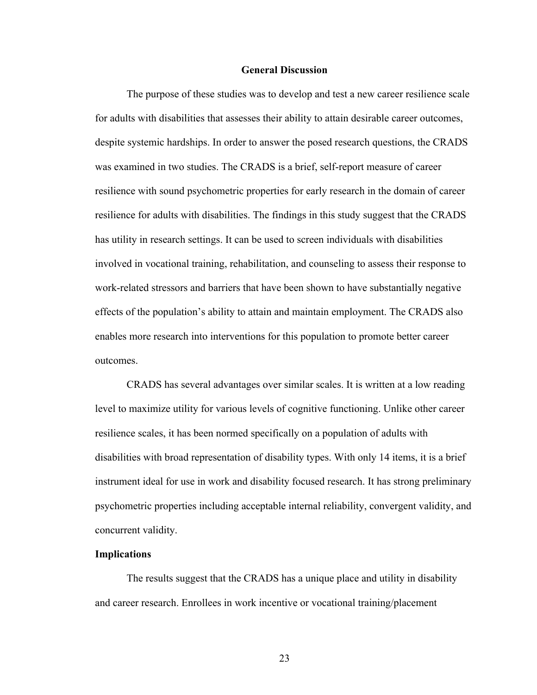#### **General Discussion**

The purpose of these studies was to develop and test a new career resilience scale for adults with disabilities that assesses their ability to attain desirable career outcomes, despite systemic hardships. In order to answer the posed research questions, the CRADS was examined in two studies. The CRADS is a brief, self-report measure of career resilience with sound psychometric properties for early research in the domain of career resilience for adults with disabilities. The findings in this study suggest that the CRADS has utility in research settings. It can be used to screen individuals with disabilities involved in vocational training, rehabilitation, and counseling to assess their response to work-related stressors and barriers that have been shown to have substantially negative effects of the population's ability to attain and maintain employment. The CRADS also enables more research into interventions for this population to promote better career outcomes.

CRADS has several advantages over similar scales. It is written at a low reading level to maximize utility for various levels of cognitive functioning. Unlike other career resilience scales, it has been normed specifically on a population of adults with disabilities with broad representation of disability types. With only 14 items, it is a brief instrument ideal for use in work and disability focused research. It has strong preliminary psychometric properties including acceptable internal reliability, convergent validity, and concurrent validity.

#### **Implications**

The results suggest that the CRADS has a unique place and utility in disability and career research. Enrollees in work incentive or vocational training/placement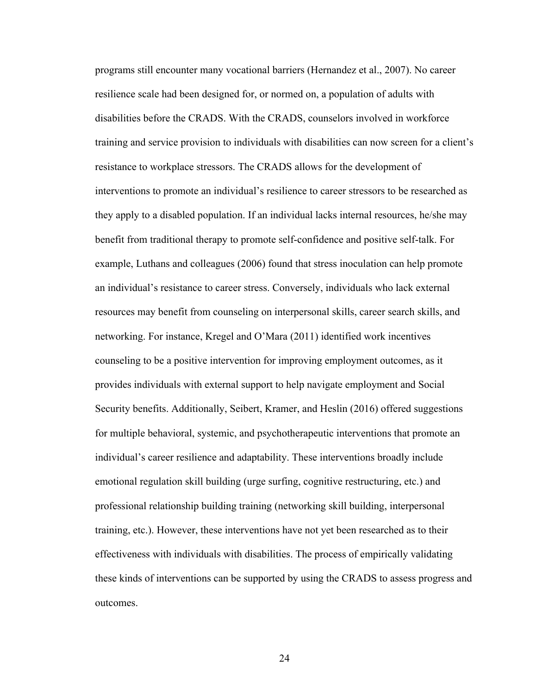programs still encounter many vocational barriers (Hernandez et al., 2007). No career resilience scale had been designed for, or normed on, a population of adults with disabilities before the CRADS. With the CRADS, counselors involved in workforce training and service provision to individuals with disabilities can now screen for a client's resistance to workplace stressors. The CRADS allows for the development of interventions to promote an individual's resilience to career stressors to be researched as they apply to a disabled population. If an individual lacks internal resources, he/she may benefit from traditional therapy to promote self-confidence and positive self-talk. For example, Luthans and colleagues (2006) found that stress inoculation can help promote an individual's resistance to career stress. Conversely, individuals who lack external resources may benefit from counseling on interpersonal skills, career search skills, and networking. For instance, Kregel and O'Mara (2011) identified work incentives counseling to be a positive intervention for improving employment outcomes, as it provides individuals with external support to help navigate employment and Social Security benefits. Additionally, Seibert, Kramer, and Heslin (2016) offered suggestions for multiple behavioral, systemic, and psychotherapeutic interventions that promote an individual's career resilience and adaptability. These interventions broadly include emotional regulation skill building (urge surfing, cognitive restructuring, etc.) and professional relationship building training (networking skill building, interpersonal training, etc.). However, these interventions have not yet been researched as to their effectiveness with individuals with disabilities. The process of empirically validating these kinds of interventions can be supported by using the CRADS to assess progress and outcomes.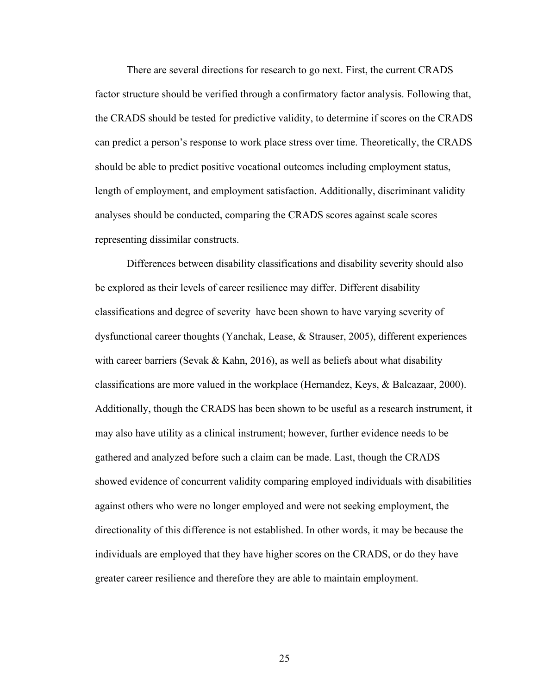There are several directions for research to go next. First, the current CRADS factor structure should be verified through a confirmatory factor analysis. Following that, the CRADS should be tested for predictive validity, to determine if scores on the CRADS can predict a person's response to work place stress over time. Theoretically, the CRADS should be able to predict positive vocational outcomes including employment status, length of employment, and employment satisfaction. Additionally, discriminant validity analyses should be conducted, comparing the CRADS scores against scale scores representing dissimilar constructs.

Differences between disability classifications and disability severity should also be explored as their levels of career resilience may differ. Different disability classifications and degree of severity have been shown to have varying severity of dysfunctional career thoughts (Yanchak, Lease, & Strauser, 2005), different experiences with career barriers (Sevak & Kahn, 2016), as well as beliefs about what disability classifications are more valued in the workplace (Hernandez, Keys, & Balcazaar, 2000). Additionally, though the CRADS has been shown to be useful as a research instrument, it may also have utility as a clinical instrument; however, further evidence needs to be gathered and analyzed before such a claim can be made. Last, though the CRADS showed evidence of concurrent validity comparing employed individuals with disabilities against others who were no longer employed and were not seeking employment, the directionality of this difference is not established. In other words, it may be because the individuals are employed that they have higher scores on the CRADS, or do they have greater career resilience and therefore they are able to maintain employment.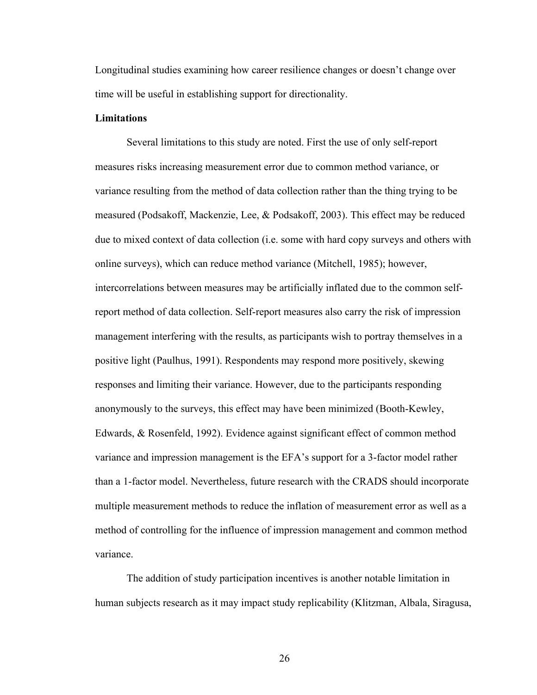Longitudinal studies examining how career resilience changes or doesn't change over time will be useful in establishing support for directionality.

#### **Limitations**

Several limitations to this study are noted. First the use of only self-report measures risks increasing measurement error due to common method variance, or variance resulting from the method of data collection rather than the thing trying to be measured (Podsakoff, Mackenzie, Lee, & Podsakoff, 2003). This effect may be reduced due to mixed context of data collection (i.e. some with hard copy surveys and others with online surveys), which can reduce method variance (Mitchell, 1985); however, intercorrelations between measures may be artificially inflated due to the common selfreport method of data collection. Self-report measures also carry the risk of impression management interfering with the results, as participants wish to portray themselves in a positive light (Paulhus, 1991). Respondents may respond more positively, skewing responses and limiting their variance. However, due to the participants responding anonymously to the surveys, this effect may have been minimized (Booth-Kewley, Edwards, & Rosenfeld, 1992). Evidence against significant effect of common method variance and impression management is the EFA's support for a 3-factor model rather than a 1-factor model. Nevertheless, future research with the CRADS should incorporate multiple measurement methods to reduce the inflation of measurement error as well as a method of controlling for the influence of impression management and common method variance.

The addition of study participation incentives is another notable limitation in human subjects research as it may impact study replicability (Klitzman, Albala, Siragusa,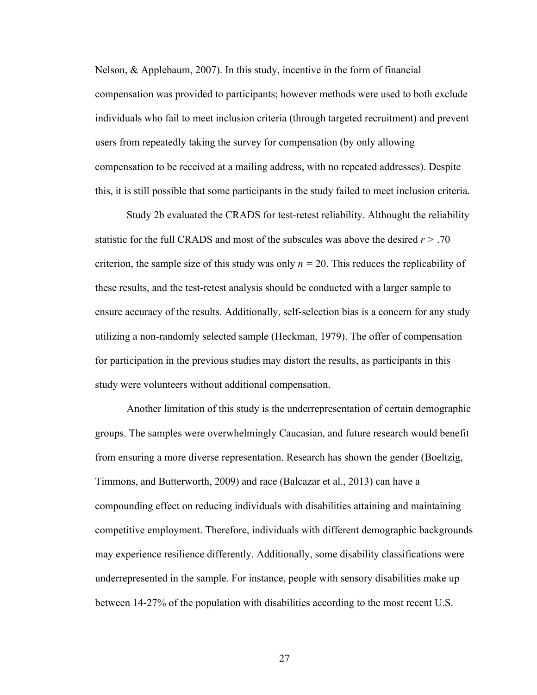Nelson, & Applebaum, 2007). In this study, incentive in the form of financial compensation was provided to participants; however methods were used to both exclude individuals who fail to meet inclusion criteria (through targeted recruitment) and prevent users from repeatedly taking the survey for compensation (by only allowing compensation to be received at a mailing address, with no repeated addresses). Despite this, it is still possible that some participants in the study failed to meet inclusion criteria.

Study 2b evaluated the CRADS for test-retest reliability. Althought the reliability statistic for the full CRADS and most of the subscales was above the desired *r >* .70 criterion, the sample size of this study was only  $n = 20$ . This reduces the replicability of these results, and the test-retest analysis should be conducted with a larger sample to ensure accuracy of the results. Additionally, self-selection bias is a concern for any study utilizing a non-randomly selected sample (Heckman, 1979). The offer of compensation for participation in the previous studies may distort the results, as participants in this study were volunteers without additional compensation.

Another limitation of this study is the underrepresentation of certain demographic groups. The samples were overwhelmingly Caucasian, and future research would benefit from ensuring a more diverse representation. Research has shown the gender (Boeltzig, Timmons, and Butterworth, 2009) and race (Balcazar et al., 2013) can have a compounding effect on reducing individuals with disabilities attaining and maintaining competitive employment. Therefore, individuals with different demographic backgrounds may experience resilience differently. Additionally, some disability classifications were underrepresented in the sample. For instance, people with sensory disabilities make up between 14-27% of the population with disabilities according to the most recent U.S.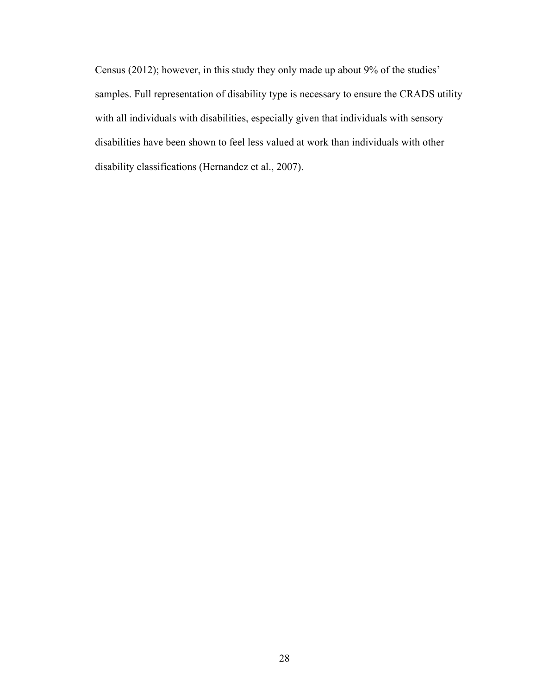Census (2012); however, in this study they only made up about 9% of the studies' samples. Full representation of disability type is necessary to ensure the CRADS utility with all individuals with disabilities, especially given that individuals with sensory disabilities have been shown to feel less valued at work than individuals with other disability classifications (Hernandez et al., 2007).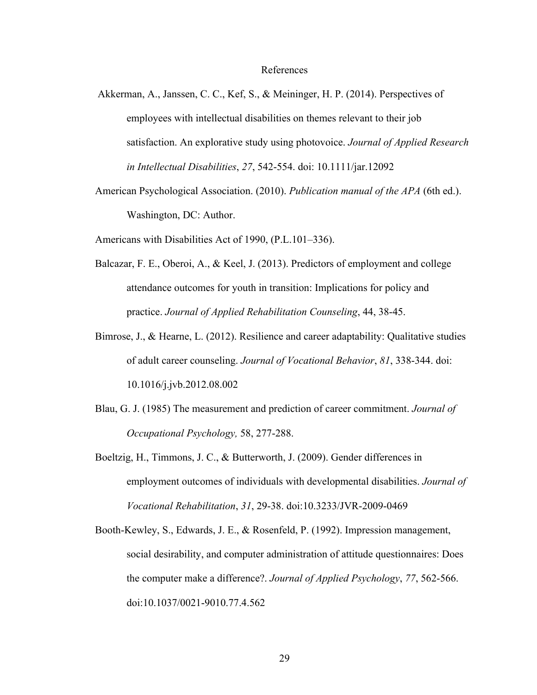#### References

- Akkerman, A., Janssen, C. C., Kef, S., & Meininger, H. P. (2014). Perspectives of employees with intellectual disabilities on themes relevant to their job satisfaction. An explorative study using photovoice. *Journal of Applied Research in Intellectual Disabilities*, *27*, 542-554. doi: 10.1111/jar.12092
- American Psychological Association. (2010). *Publication manual of the APA* (6th ed.). Washington, DC: Author.

Americans with Disabilities Act of 1990, (P.L.101–336).

- Balcazar, F. E., Oberoi, A., & Keel, J. (2013). Predictors of employment and college attendance outcomes for youth in transition: Implications for policy and practice. *Journal of Applied Rehabilitation Counseling*, 44, 38-45.
- Bimrose, J., & Hearne, L. (2012). Resilience and career adaptability: Qualitative studies of adult career counseling. *Journal of Vocational Behavior*, *81*, 338-344. doi: 10.1016/j.jvb.2012.08.002
- Blau, G. J. (1985) The measurement and prediction of career commitment. *Journal of Occupational Psychology,* 58, 277-288.
- Boeltzig, H., Timmons, J. C., & Butterworth, J. (2009). Gender differences in employment outcomes of individuals with developmental disabilities. *Journal of Vocational Rehabilitation*, *31*, 29-38. doi:10.3233/JVR-2009-0469
- Booth-Kewley, S., Edwards, J. E., & Rosenfeld, P. (1992). Impression management, social desirability, and computer administration of attitude questionnaires: Does the computer make a difference?. *Journal of Applied Psychology*, *77*, 562-566. doi:10.1037/0021-9010.77.4.562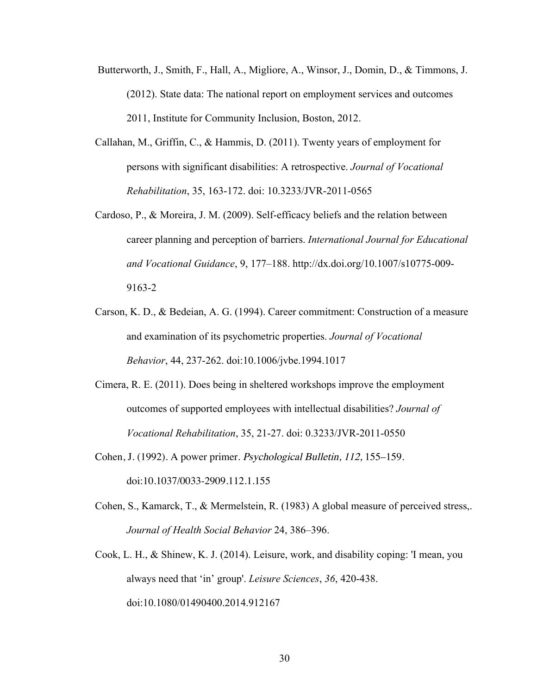- Butterworth, J., Smith, F., Hall, A., Migliore, A., Winsor, J., Domin, D., & Timmons, J. (2012). State data: The national report on employment services and outcomes 2011, Institute for Community Inclusion, Boston, 2012.
- Callahan, M., Griffin, C., & Hammis, D. (2011). Twenty years of employment for persons with significant disabilities: A retrospective. *Journal of Vocational Rehabilitation*, 35, 163-172. doi: 10.3233/JVR-2011-0565
- Cardoso, P., & Moreira, J. M. (2009). Self-efficacy beliefs and the relation between career planning and perception of barriers. *International Journal for Educational and Vocational Guidance*, 9, 177–188. http://dx.doi.org/10.1007/s10775-009- 9163-2
- Carson, K. D., & Bedeian, A. G. (1994). Career commitment: Construction of a measure and examination of its psychometric properties. *Journal of Vocational Behavior*, 44, 237-262. doi:10.1006/jvbe.1994.1017
- Cimera, R. E. (2011). Does being in sheltered workshops improve the employment outcomes of supported employees with intellectual disabilities? *Journal of Vocational Rehabilitation*, 35, 21-27. doi: 0.3233/JVR-2011-0550
- Cohen, J. (1992). A power primer. Psychological Bulletin, 112, 155–159. doi:10.1037/0033-2909.112.1.155
- Cohen, S., Kamarck, T., & Mermelstein, R. (1983) A global measure of perceived stress,. *Journal of Health Social Behavior* 24, 386–396.
- Cook, L. H., & Shinew, K. J. (2014). Leisure, work, and disability coping: 'I mean, you always need that 'in' group'. *Leisure Sciences*, *36*, 420-438. doi:10.1080/01490400.2014.912167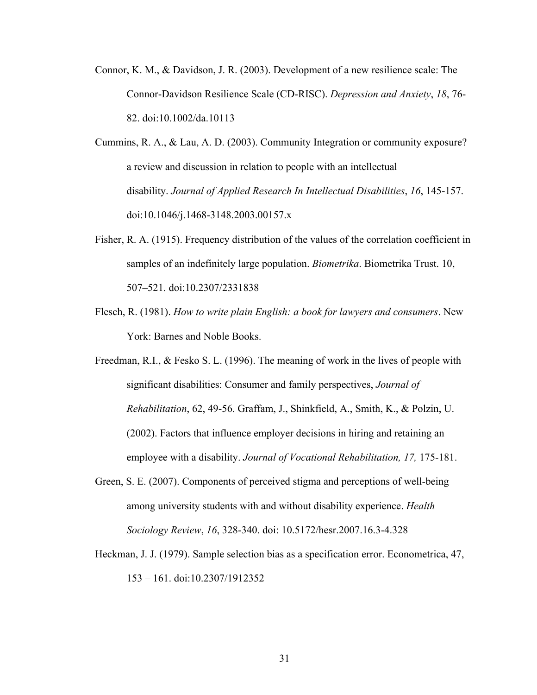- Connor, K. M., & Davidson, J. R. (2003). Development of a new resilience scale: The Connor-Davidson Resilience Scale (CD-RISC). *Depression and Anxiety*, *18*, 76- 82. doi:10.1002/da.10113
- Cummins, R. A., & Lau, A. D. (2003). Community Integration or community exposure? a review and discussion in relation to people with an intellectual disability. *Journal of Applied Research In Intellectual Disabilities*, *16*, 145-157. doi:10.1046/j.1468-3148.2003.00157.x
- Fisher, R. A. (1915). Frequency distribution of the values of the correlation coefficient in samples of an indefinitely large population. *Biometrika*. Biometrika Trust. 10, 507–521. doi:10.2307/2331838
- Flesch, R. (1981). *How to write plain English: a book for lawyers and consumers*. New York: Barnes and Noble Books.
- Freedman, R.I., & Fesko S. L. (1996). The meaning of work in the lives of people with significant disabilities: Consumer and family perspectives, *Journal of Rehabilitation*, 62, 49-56. Graffam, J., Shinkfield, A., Smith, K., & Polzin, U. (2002). Factors that influence employer decisions in hiring and retaining an employee with a disability. *Journal of Vocational Rehabilitation, 17,* 175-181.
- Green, S. E. (2007). Components of perceived stigma and perceptions of well-being among university students with and without disability experience. *Health Sociology Review*, *16*, 328-340. doi: 10.5172/hesr.2007.16.3-4.328
- Heckman, J. J. (1979). Sample selection bias as a specification error. Econometrica, 47, 153 – 161. doi:10.2307/1912352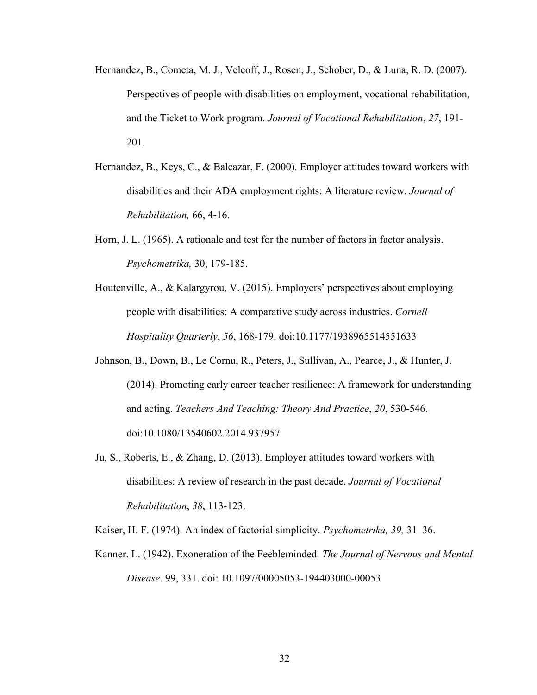- Hernandez, B., Cometa, M. J., Velcoff, J., Rosen, J., Schober, D., & Luna, R. D. (2007). Perspectives of people with disabilities on employment, vocational rehabilitation, and the Ticket to Work program. *Journal of Vocational Rehabilitation*, *27*, 191- 201.
- Hernandez, B., Keys, C., & Balcazar, F. (2000). Employer attitudes toward workers with disabilities and their ADA employment rights: A literature review. *Journal of Rehabilitation,* 66, 4-16.
- Horn, J. L. (1965). A rationale and test for the number of factors in factor analysis. *Psychometrika,* 30, 179-185.
- Houtenville, A., & Kalargyrou, V. (2015). Employers' perspectives about employing people with disabilities: A comparative study across industries. *Cornell Hospitality Quarterly*, *56*, 168-179. doi:10.1177/1938965514551633
- Johnson, B., Down, B., Le Cornu, R., Peters, J., Sullivan, A., Pearce, J., & Hunter, J. (2014). Promoting early career teacher resilience: A framework for understanding and acting. *Teachers And Teaching: Theory And Practice*, *20*, 530-546. doi:10.1080/13540602.2014.937957
- Ju, S., Roberts, E., & Zhang, D. (2013). Employer attitudes toward workers with disabilities: A review of research in the past decade. *Journal of Vocational Rehabilitation*, *38*, 113-123.

Kaiser, H. F. (1974). An index of factorial simplicity. *Psychometrika, 39,* 31–36.

Kanner. L. (1942). Exoneration of the Feebleminded. *The Journal of Nervous and Mental Disease*. 99, 331. doi: 10.1097/00005053-194403000-00053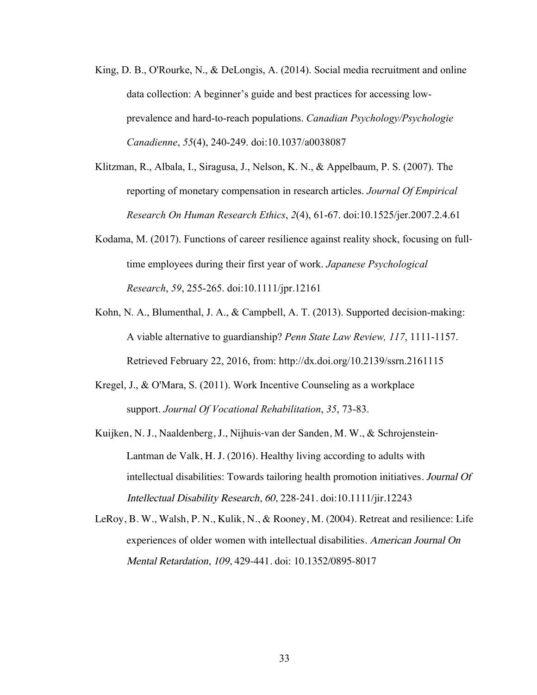- King, D. B., O'Rourke, N., & DeLongis, A. (2014). Social media recruitment and online data collection: A beginner's guide and best practices for accessing lowprevalence and hard-to-reach populations. *Canadian Psychology/Psychologie Canadienne*, *55*(4), 240-249. doi:10.1037/a0038087
- Klitzman, R., Albala, I., Siragusa, J., Nelson, K. N., & Appelbaum, P. S. (2007). The reporting of monetary compensation in research articles. *Journal Of Empirical Research On Human Research Ethics*, *2*(4), 61-67. doi:10.1525/jer.2007.2.4.61
- Kodama, M. (2017). Functions of career resilience against reality shock, focusing on fulltime employees during their first year of work. *Japanese Psychological Research*, *59*, 255-265. doi:10.1111/jpr.12161
- Kohn, N. A., Blumenthal, J. A., & Campbell, A. T. (2013). Supported decision-making: A viable alternative to guardianship? *Penn State Law Review, 117*, 1111-1157. Retrieved February 22, 2016, from: http://dx.doi.org/10.2139/ssrn.2161115
- Kregel, J., & O'Mara, S. (2011). Work Incentive Counseling as a workplace support. *Journal Of Vocational Rehabilitation*, *35*, 73-83.
- Kuijken, N. J., Naaldenberg, J., Nijhuis‐van der Sanden, M. W., & Schrojenstein‐ Lantman de Valk, H. J. (2016). Healthy living according to adults with intellectual disabilities: Towards tailoring health promotion initiatives. Journal Of Intellectual Disability Research, <sup>60</sup>, 228-241. doi:10.1111/jir.12243
- LeRoy, B. W., Walsh, P. N., Kulik, N., & Rooney, M. (2004). Retreat and resilience: Life experiences of older women with intellectual disabilities. American Journal On Mental Retardation, <sup>109</sup>, 429-441. doi: 10.1352/0895-8017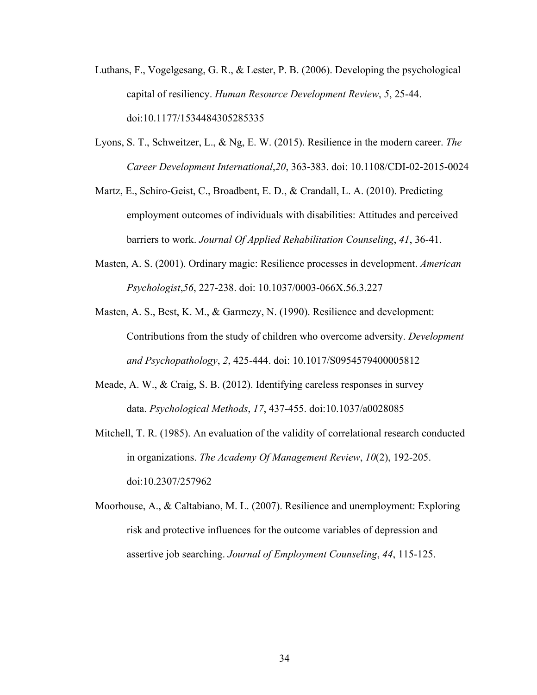- Luthans, F., Vogelgesang, G. R., & Lester, P. B. (2006). Developing the psychological capital of resiliency. *Human Resource Development Review*, *5*, 25-44. doi:10.1177/1534484305285335
- Lyons, S. T., Schweitzer, L., & Ng, E. W. (2015). Resilience in the modern career. *The Career Development International*,*20*, 363-383. doi: 10.1108/CDI-02-2015-0024
- Martz, E., Schiro-Geist, C., Broadbent, E. D., & Crandall, L. A. (2010). Predicting employment outcomes of individuals with disabilities: Attitudes and perceived barriers to work. *Journal Of Applied Rehabilitation Counseling*, *41*, 36-41.
- Masten, A. S. (2001). Ordinary magic: Resilience processes in development. *American Psychologist*,*56*, 227-238. doi: 10.1037/0003-066X.56.3.227
- Masten, A. S., Best, K. M., & Garmezy, N. (1990). Resilience and development: Contributions from the study of children who overcome adversity. *Development and Psychopathology*, *2*, 425-444. doi: 10.1017/S0954579400005812
- Meade, A. W., & Craig, S. B. (2012). Identifying careless responses in survey data. *Psychological Methods*, *17*, 437-455. doi:10.1037/a0028085
- Mitchell, T. R. (1985). An evaluation of the validity of correlational research conducted in organizations. *The Academy Of Management Review*, *10*(2), 192-205. doi:10.2307/257962
- Moorhouse, A., & Caltabiano, M. L. (2007). Resilience and unemployment: Exploring risk and protective influences for the outcome variables of depression and assertive job searching. *Journal of Employment Counseling*, *44*, 115-125.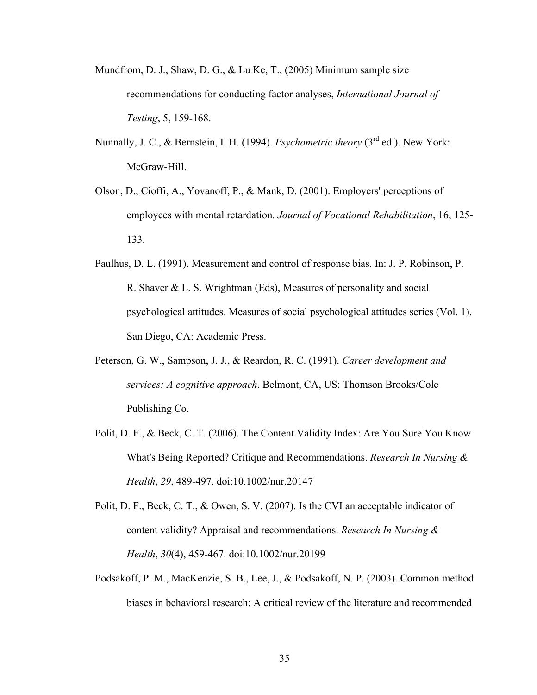- Mundfrom, D. J., Shaw, D. G., & Lu Ke, T., (2005) Minimum sample size recommendations for conducting factor analyses, *International Journal of Testing*, 5, 159-168.
- Nunnally, J. C., & Bernstein, I. H. (1994). *Psychometric theory* (3<sup>rd</sup> ed.). New York: McGraw-Hill.
- Olson, D., Cioffi, A., Yovanoff, P., & Mank, D. (2001). Employers' perceptions of employees with mental retardation*. Journal of Vocational Rehabilitation*, 16, 125- 133.
- Paulhus, D. L. (1991). Measurement and control of response bias. In: J. P. Robinson, P. R. Shaver & L. S. Wrightman (Eds), Measures of personality and social psychological attitudes. Measures of social psychological attitudes series (Vol. 1). San Diego, CA: Academic Press.
- Peterson, G. W., Sampson, J. J., & Reardon, R. C. (1991). *Career development and services: A cognitive approach*. Belmont, CA, US: Thomson Brooks/Cole Publishing Co.
- Polit, D. F., & Beck, C. T. (2006). The Content Validity Index: Are You Sure You Know What's Being Reported? Critique and Recommendations. *Research In Nursing & Health*, *29*, 489-497. doi:10.1002/nur.20147
- Polit, D. F., Beck, C. T., & Owen, S. V. (2007). Is the CVI an acceptable indicator of content validity? Appraisal and recommendations. *Research In Nursing & Health*, *30*(4), 459-467. doi:10.1002/nur.20199
- Podsakoff, P. M., MacKenzie, S. B., Lee, J., & Podsakoff, N. P. (2003). Common method biases in behavioral research: A critical review of the literature and recommended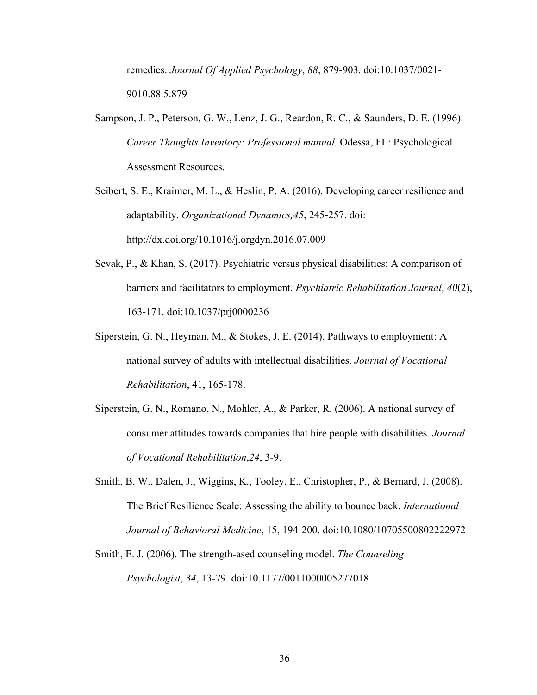remedies. *Journal Of Applied Psychology*, *88*, 879-903. doi:10.1037/0021- 9010.88.5.879

- Sampson, J. P., Peterson, G. W., Lenz, J. G., Reardon, R. C., & Saunders, D. E. (1996). *Career Thoughts Inventory: Professional manual.* Odessa, FL: Psychological Assessment Resources.
- Seibert, S. E., Kraimer, M. L., & Heslin, P. A. (2016). Developing career resilience and adaptability. *Organizational Dynamics,45*, 245-257. doi: http://dx.doi.org/10.1016/j.orgdyn.2016.07.009
- Sevak, P., & Khan, S. (2017). Psychiatric versus physical disabilities: A comparison of barriers and facilitators to employment. *Psychiatric Rehabilitation Journal*, *40*(2), 163-171. doi:10.1037/prj0000236
- Siperstein, G. N., Heyman, M., & Stokes, J. E. (2014). Pathways to employment: A national survey of adults with intellectual disabilities. *Journal of Vocational Rehabilitation*, 41, 165-178.
- Siperstein, G. N., Romano, N., Mohler, A., & Parker, R. (2006). A national survey of consumer attitudes towards companies that hire people with disabilities. *Journal of Vocational Rehabilitation*,*24*, 3-9.
- Smith, B. W., Dalen, J., Wiggins, K., Tooley, E., Christopher, P., & Bernard, J. (2008). The Brief Resilience Scale: Assessing the ability to bounce back. *International Journal of Behavioral Medicine*, 15, 194-200. doi:10.1080/10705500802222972
- Smith, E. J. (2006). The strength-ased counseling model. *The Counseling Psychologist*, *34*, 13-79. doi:10.1177/0011000005277018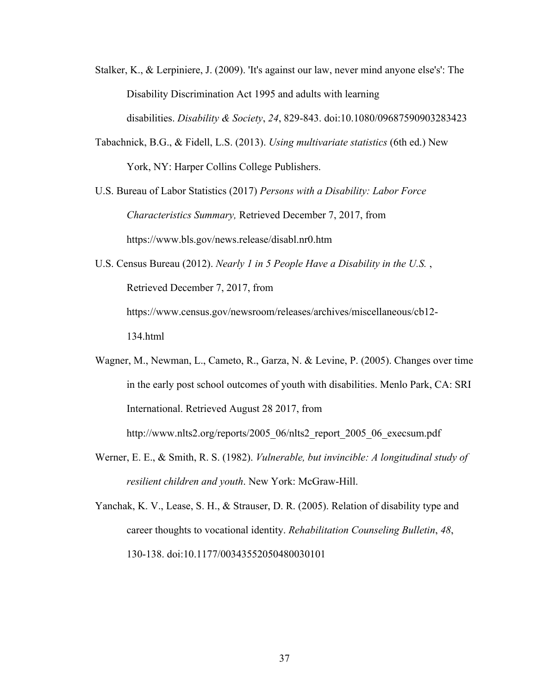- Stalker, K., & Lerpiniere, J. (2009). 'It's against our law, never mind anyone else's': The Disability Discrimination Act 1995 and adults with learning disabilities. *Disability & Society*, *24*, 829-843. doi:10.1080/09687590903283423
- Tabachnick, B.G., & Fidell, L.S. (2013). *Using multivariate statistics* (6th ed.) New York, NY: Harper Collins College Publishers.
- U.S. Bureau of Labor Statistics (2017) *Persons with a Disability: Labor Force Characteristics Summary,* Retrieved December 7, 2017, from https://www.bls.gov/news.release/disabl.nr0.htm

U.S. Census Bureau (2012). *Nearly 1 in 5 People Have a Disability in the U.S.* , Retrieved December 7, 2017, from https://www.census.gov/newsroom/releases/archives/miscellaneous/cb12- 134.html

- Wagner, M., Newman, L., Cameto, R., Garza, N. & Levine, P. (2005). Changes over time in the early post school outcomes of youth with disabilities. Menlo Park, CA: SRI International. Retrieved August 28 2017, from http://www.nlts2.org/reports/2005\_06/nlts2\_report\_2005\_06\_execsum.pdf
- Werner, E. E., & Smith, R. S. (1982). *Vulnerable, but invincible: A longitudinal study of resilient children and youth*. New York: McGraw-Hill.

Yanchak, K. V., Lease, S. H., & Strauser, D. R. (2005). Relation of disability type and career thoughts to vocational identity. *Rehabilitation Counseling Bulletin*, *48*, 130-138. doi:10.1177/00343552050480030101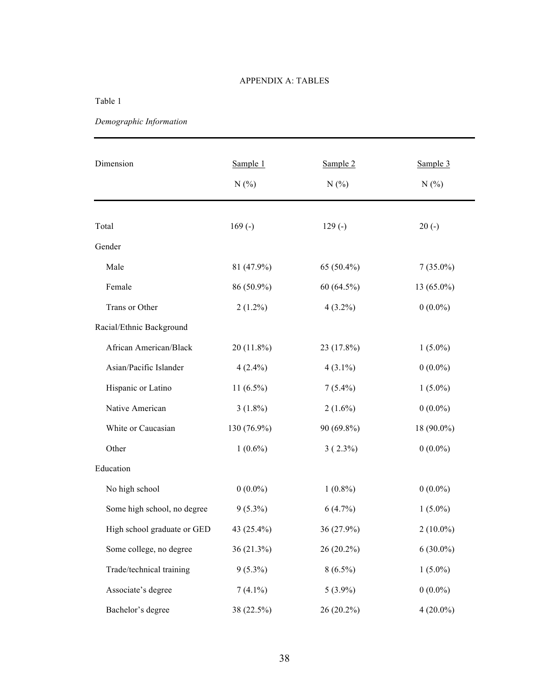#### APPENDIX A: TABLES

#### Table 1

*Demographic Information*

| Dimension                   | Sample 1<br>N(% | Sample 2<br>N(% | Sample 3<br>N(% |
|-----------------------------|-----------------|-----------------|-----------------|
| Total                       | $169(-)$        | $129(-)$        | $20(-)$         |
| Gender                      |                 |                 |                 |
| Male                        | 81 (47.9%)      | 65 (50.4%)      | $7(35.0\%)$     |
| Female                      | 86 (50.9%)      | $60(64.5\%)$    | $13(65.0\%)$    |
| Trans or Other              | $2(1.2\%)$      | $4(3.2\%)$      | $0(0.0\%)$      |
| Racial/Ethnic Background    |                 |                 |                 |
| African American/Black      | $20(11.8\%)$    | 23 (17.8%)      | $1(5.0\%)$      |
| Asian/Pacific Islander      | $4(2.4\%)$      | $4(3.1\%)$      | $0(0.0\%)$      |
| Hispanic or Latino          | $11(6.5\%)$     | $7(5.4\%)$      | $1(5.0\%)$      |
| Native American             | $3(1.8\%)$      | $2(1.6\%)$      | $0(0.0\%)$      |
| White or Caucasian          | 130 (76.9%)     | 90 (69.8%)      | 18 (90.0%)      |
| Other                       | $1(0.6\%)$      | $3(2.3\%)$      | $0(0.0\%)$      |
| Education                   |                 |                 |                 |
| No high school              | $0(0.0\%)$      | $1(0.8\%)$      | $0(0.0\%)$      |
| Some high school, no degree | $9(5.3\%)$      | $6(4.7\%)$      | $1(5.0\%)$      |
| High school graduate or GED | 43 (25.4%)      | 36 (27.9%)      | $2(10.0\%)$     |
| Some college, no degree     | 36 (21.3%)      | 26 (20.2%)      | $6(30.0\%)$     |
| Trade/technical training    | $9(5.3\%)$      | $8(6.5\%)$      | $1(5.0\%)$      |
| Associate's degree          | $7(4.1\%)$      | $5(3.9\%)$      | $0(0.0\%)$      |
| Bachelor's degree           | 38 (22.5%)      | 26 (20.2%)      | $4(20.0\%)$     |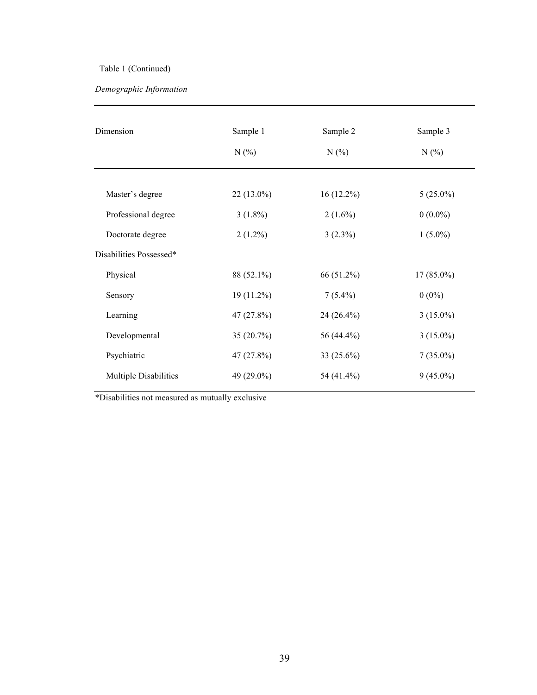# Table 1 (Continued)

# *Demographic Information*

| Dimension               | Sample 1<br>N(% | Sample 2<br>N(% | Sample 3<br>N(% |
|-------------------------|-----------------|-----------------|-----------------|
| Master's degree         | $22(13.0\%)$    | $16(12.2\%)$    | $5(25.0\%)$     |
| Professional degree     | $3(1.8\%)$      | $2(1.6\%)$      | $0(0.0\%)$      |
| Doctorate degree        | $2(1.2\%)$      | $3(2.3\%)$      | $1(5.0\%)$      |
| Disabilities Possessed* |                 |                 |                 |
| Physical                | 88 (52.1%)      | 66 (51.2%)      | $17(85.0\%)$    |
| Sensory                 | $19(11.2\%)$    | $7(5.4\%)$      | $0(0\%)$        |
| Learning                | 47(27.8%)       | 24 (26.4%)      | $3(15.0\%)$     |
| Developmental           | 35 (20.7%)      | 56 (44.4%)      | $3(15.0\%)$     |
| Psychiatric             | 47 (27.8%)      | 33 $(25.6\%)$   | $7(35.0\%)$     |
| Multiple Disabilities   | 49 (29.0%)      | 54 (41.4%)      | $9(45.0\%)$     |

\*Disabilities not measured as mutually exclusive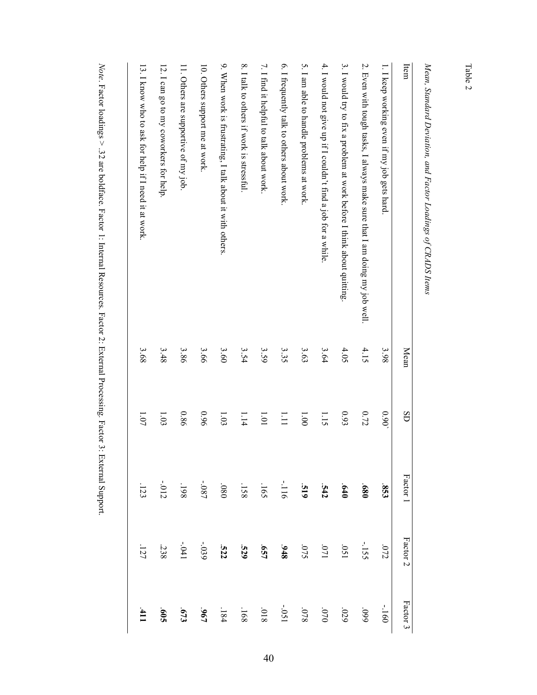Table 2

| į                                                                                                                                                                                                                                              |
|------------------------------------------------------------------------------------------------------------------------------------------------------------------------------------------------------------------------------------------------|
| j<br>                                                                                                                                                                                                                                          |
|                                                                                                                                                                                                                                                |
| l                                                                                                                                                                                                                                              |
| $\ddot{\phantom{0}}$<br>1                                                                                                                                                                                                                      |
|                                                                                                                                                                                                                                                |
| <b>Contractive to the contractive of the contractive of the contractive of the contractive of the contractive of the contractive of the contractive of the contractive of the contractive of the contractive of the contraction </b><br>)<br>) |

| Item                                                                      | Mean | SD                | Factor 1    | Factor 2   | Factor 3        |
|---------------------------------------------------------------------------|------|-------------------|-------------|------------|-----------------|
| 1. I keep working even if my job gets hard.                               | 36'5 | 0.90 <sub>c</sub> | 853         | 072        | $-160$          |
| 2. Even with tough tasks, I always make sure that I am doing my job well. | 4.15 | 0.72              | 089         | $-155$     | 660             |
| 3. I would try to fix a problem at work before I think about quitting.    | 4.05 | 0.93              | 640         | 150        | .029            |
| 4. I would not give up if I couldn't find a job for a while               | 3.64 | 1.15              | 542         | 170.       | 0/10            |
| 5. I am able to handle problems at work.                                  | 3.63 | 00 <sup>1</sup>   | 615         | <b>SLO</b> | 820             |
| 6. I frequently talk to others about work.                                | 3.35 | $\prod_{i=1}^{n}$ | $-1116$     | 348        | -.051           |
| 7. I find it helpful to talk about work                                   | 3.59 | 101               | $-165$      | <b>LS9</b> | 810             |
| 8. I talk to others if work is stressful.                                 | 3.54 | 1.14              | .158        | 529        | .168            |
| 9. When work is frustrating, I talk about it with others                  | 3.60 | 1.03              | $080^\circ$ | .522       | $-184$          |
| 10. Others support me at work.                                            | 3.66 | 960               | -.087       | -.039      | $-061$          |
| 11. Others are supportive of my job.                                      | 3.86 | 980               | .198        | $-041$     | 673             |
| 12. I can go to my coworkers for help                                     | 3.48 | 1.03              | $-012$      | 238        | $\mathbf{509}$  |
| 13. I know who to ask for help if I need it at work.                      | 3.68 | 1.07              | $-123$      | $-127$     | $\overline{11}$ |
|                                                                           |      |                   |             |            |                 |

Note. Factor loadings > .32 are boldface. Factor 1: Internal Resources. Factor 2: External Processing. Factor 3: External Support. . Factor loadings > .32 are boldface. Factor 1: Internal Resources. Factor 2: External Processing. Factor 3: External Support.